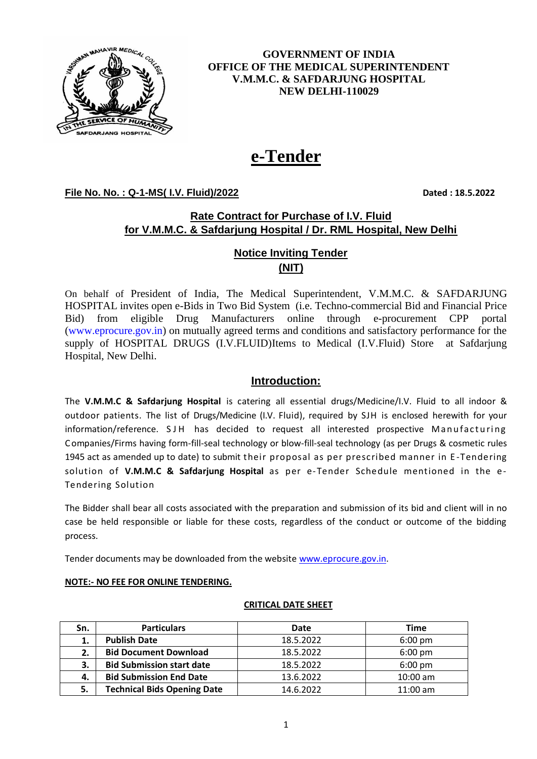

**GOVERNMENT OF INDIA OFFICE OF THE MEDICAL SUPERINTENDENT V.M.M.C. & SAFDARJUNG HOSPITAL NEW DELHI-110029**

# **e-Tender**

**File No. No. : Q-1-MS( I.V. Fluid)/2022 Dated : 18.5.2022**

### **Rate Contract for Purchase of I.V. Fluid for V.M.M.C. & Safdarjung Hospital / Dr. RML Hospital, New Delhi**

## **Notice Inviting Tender (NIT)**

On behalf of President of India, The Medical Superintendent, V.M.M.C. & SAFDARJUNG HOSPITAL invites open e-Bids in Two Bid System (i.e. Techno-commercial Bid and Financial Price Bid) from eligible Drug Manufacturers online through e-procurement CPP portal [\(www.eprocure.gov.in\)](http://www.eprocure.gov.in/) on mutually agreed terms and conditions and satisfactory performance for the supply of HOSPITAL DRUGS (I.V.FLUID)Items to Medical (I.V.Fluid) Store at Safdariung Hospital, New Delhi.

#### **Introduction:**

The **V.M.M.C & Safdarjung Hospital** is catering all essential drugs/Medicine/I.V. Fluid to all indoor & outdoor patients. The list of Drugs/Medicine (I.V. Fluid), required by SJH is enclosed herewith for your information/reference. SJH has decided to request all interested prospective Manufacturing Companies/Firms having form-fill-seal technology or blow-fill-seal technology (as per Drugs & cosmetic rules 1945 act as amended up to date) to submit their proposal as per prescribed manner in E -Tendering solution of **V.M.M.C & Safdarjung Hospital** as per e-Tender Schedule mentioned in the e-Tendering Solution

The Bidder shall bear all costs associated with the preparation and submission of its bid and client will in no case be held responsible or liable for these costs, regardless of the conduct or outcome of the bidding process.

Tender documents may be downloaded from the websit[e www.eprocure.gov.in.](http://www.eprocure.gov.in/)

## **NOTE:- NO FEE FOR ONLINE TENDERING.**

#### **CRITICAL DATE SHEET**

| Sn. | <b>Particulars</b>                 | Date      | <b>Time</b>       |
|-----|------------------------------------|-----------|-------------------|
| 1.  | <b>Publish Date</b>                | 18.5.2022 | $6:00 \text{ pm}$ |
| 2.  | <b>Bid Document Download</b>       | 18.5.2022 | $6:00 \text{ pm}$ |
| 3.  | <b>Bid Submission start date</b>   | 18.5.2022 | $6:00 \text{ pm}$ |
| 4.  | <b>Bid Submission End Date</b>     | 13.6.2022 | $10:00$ am        |
| 5.  | <b>Technical Bids Opening Date</b> | 14.6.2022 | $11:00$ am        |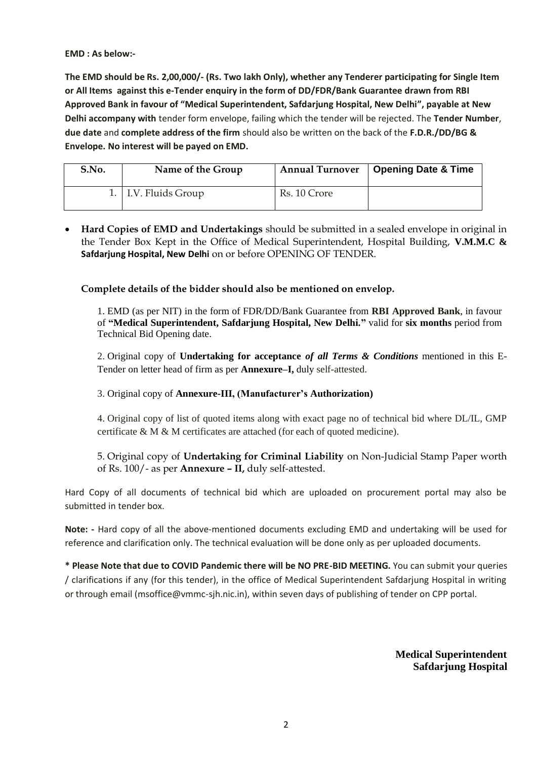#### **EMD : As below:-**

**The EMD should be Rs. 2,00,000/- (Rs. Two lakh Only), whether any Tenderer participating for Single Item or All Items against this e-Tender enquiry in the form of DD/FDR/Bank Guarantee drawn from RBI Approved Bank in favour of "Medical Superintendent, Safdarjung Hospital, New Delhi", payable at New Delhi accompany with** tender form envelope, failing which the tender will be rejected. The **Tender Number**, **due date** and **complete address of the firm** should also be written on the back of the **F.D.R./DD/BG & Envelope. No interest will be payed on EMD.** 

| S.No. | Name of the Group    | <b>Annual Turnover</b> | Opening Date & Time |
|-------|----------------------|------------------------|---------------------|
|       | 1. I.V. Fluids Group | Rs. 10 Crore           |                     |

• **Hard Copies of EMD and Undertakings** should be submitted in a sealed envelope in original in the Tender Box Kept in the Office of Medical Superintendent, Hospital Building, **V.M.M.C & Safdarjung Hospital, New Delhi** on or before OPENING OF TENDER.

#### **Complete details of the bidder should also be mentioned on envelop.**

1. EMD (as per NIT) in the form of FDR/DD/Bank Guarantee from **RBI Approved Bank**, in favour of **"Medical Superintendent, Safdarjung Hospital, New Delhi."** valid for **six months** period from Technical Bid Opening date.

2. Original copy of **Undertaking for acceptance** *of all Terms & Conditions* mentioned in this E-Tender on letter head of firm as per **Annexure–I,** duly self-attested.

3. Original copy of **Annexure-III, (Manufacturer's Authorization)**

4. Original copy of list of quoted items along with exact page no of technical bid where DL/IL, GMP certificate & M & M certificates are attached (for each of quoted medicine).

5. Original copy of **Undertaking for Criminal Liability** on Non-Judicial Stamp Paper worth of Rs. 100/- as per **Annexure – II,** duly self-attested.

Hard Copy of all documents of technical bid which are uploaded on procurement portal may also be submitted in tender box.

**Note: -** Hard copy of all the above-mentioned documents excluding EMD and undertaking will be used for reference and clarification only. The technical evaluation will be done only as per uploaded documents.

**\* Please Note that due to COVID Pandemic there will be NO PRE-BID MEETING.** You can submit your queries / clarifications if any (for this tender), in the office of Medical Superintendent Safdarjung Hospital in writing or through email (msoffice@vmmc-sjh.nic.in), within seven days of publishing of tender on CPP portal.

> **Medical Superintendent Safdarjung Hospital**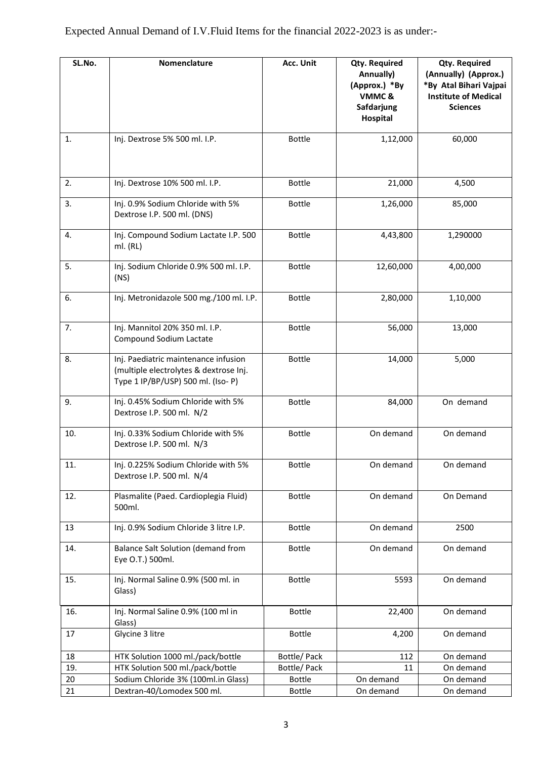| SL.No. | Nomenclature                                                                                                        | Acc. Unit     | <b>Qty. Required</b><br>Annually)<br>(Approx.) *By<br>VMMC& | <b>Qty. Required</b><br>(Annually) (Approx.)<br>*By Atal Bihari Vajpai<br><b>Institute of Medical</b> |
|--------|---------------------------------------------------------------------------------------------------------------------|---------------|-------------------------------------------------------------|-------------------------------------------------------------------------------------------------------|
|        |                                                                                                                     |               | Safdarjung<br>Hospital                                      | <b>Sciences</b>                                                                                       |
| 1.     | Inj. Dextrose 5% 500 ml. I.P.                                                                                       | <b>Bottle</b> | 1,12,000                                                    | 60,000                                                                                                |
| 2.     | Inj. Dextrose 10% 500 ml. I.P.                                                                                      | <b>Bottle</b> | 21,000                                                      | 4,500                                                                                                 |
| 3.     | Inj. 0.9% Sodium Chloride with 5%<br>Dextrose I.P. 500 ml. (DNS)                                                    | <b>Bottle</b> | 1,26,000                                                    | 85,000                                                                                                |
| 4.     | Inj. Compound Sodium Lactate I.P. 500<br>ml. (RL)                                                                   | <b>Bottle</b> | 4,43,800                                                    | 1,290000                                                                                              |
| 5.     | Inj. Sodium Chloride 0.9% 500 ml. I.P.<br>(NS)                                                                      | <b>Bottle</b> | 12,60,000                                                   | 4,00,000                                                                                              |
| 6.     | Inj. Metronidazole 500 mg./100 ml. I.P.                                                                             | <b>Bottle</b> | 2,80,000                                                    | 1,10,000                                                                                              |
| 7.     | Inj. Mannitol 20% 350 ml. I.P.<br>Compound Sodium Lactate                                                           | <b>Bottle</b> | 56,000                                                      | 13,000                                                                                                |
| 8.     | Inj. Paediatric maintenance infusion<br>(multiple electrolytes & dextrose Inj.<br>Type 1 IP/BP/USP) 500 ml. (Iso-P) | <b>Bottle</b> | 14,000                                                      | 5,000                                                                                                 |
| 9.     | Inj. 0.45% Sodium Chloride with 5%<br>Dextrose I.P. 500 ml. N/2                                                     | <b>Bottle</b> | 84,000                                                      | On demand                                                                                             |
| 10.    | Inj. 0.33% Sodium Chloride with 5%<br>Dextrose I.P. 500 ml. N/3                                                     | <b>Bottle</b> | On demand                                                   | On demand                                                                                             |
| 11.    | Inj. 0.225% Sodium Chloride with 5%<br>Dextrose I.P. 500 ml. N/4                                                    | <b>Bottle</b> | On demand                                                   | On demand                                                                                             |
| 12.    | Plasmalite (Paed. Cardioplegia Fluid)<br>500ml.                                                                     | <b>Bottle</b> | On demand                                                   | On Demand                                                                                             |
| 13     | Inj. 0.9% Sodium Chloride 3 litre I.P.                                                                              | <b>Bottle</b> | On demand                                                   | 2500                                                                                                  |
| 14.    | Balance Salt Solution (demand from<br>Eye O.T.) 500ml.                                                              | <b>Bottle</b> | On demand                                                   | On demand                                                                                             |
| 15.    | Inj. Normal Saline 0.9% (500 ml. in<br>Glass)                                                                       | <b>Bottle</b> | 5593                                                        | On demand                                                                                             |
| 16.    | Inj. Normal Saline 0.9% (100 ml in<br>Glass)                                                                        | <b>Bottle</b> | 22,400                                                      | On demand                                                                                             |
| 17     | Glycine 3 litre                                                                                                     | <b>Bottle</b> | 4,200                                                       | On demand                                                                                             |
| 18     | HTK Solution 1000 ml./pack/bottle                                                                                   | Bottle/ Pack  | 112                                                         | On demand                                                                                             |
| 19.    | HTK Solution 500 ml./pack/bottle                                                                                    | Bottle/ Pack  | 11                                                          | On demand                                                                                             |
| 20     | Sodium Chloride 3% (100ml.in Glass)                                                                                 | <b>Bottle</b> | On demand                                                   | On demand                                                                                             |
| 21     | Dextran-40/Lomodex 500 ml.                                                                                          | <b>Bottle</b> | On demand                                                   | On demand                                                                                             |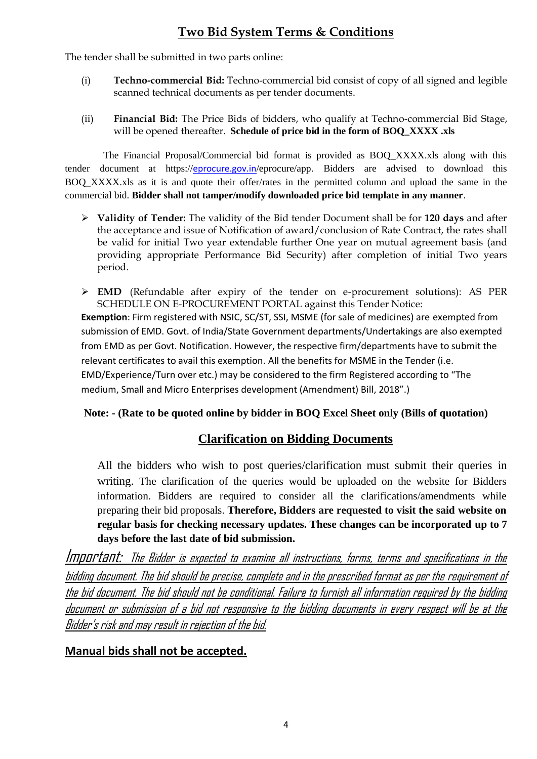# **Two Bid System Terms & Conditions**

The tender shall be submitted in two parts online:

- (i) **Techno-commercial Bid:** Techno-commercial bid consist of copy of all signed and legible scanned technical documents as per tender documents.
- (ii) **Financial Bid:** The Price Bids of bidders, who qualify at Techno-commercial Bid Stage, will be opened thereafter. **Schedule of price bid in the form of BOQ\_XXXX .xls**

 The Financial Proposal/Commercial bid format is provided as BOQ\_XXXX.xls along with this tender document at https://[eprocure.gov.in](http://www.eprocure.gov.in/)/eprocure/app. Bidders are advised to download this BOQ XXXX.xls as it is and quote their offer/rates in the permitted column and upload the same in the commercial bid. **Bidder shall not tamper/modify downloaded price bid template in any manner**.

➢ **Validity of Tender:** The validity of the Bid tender Document shall be for **120 days** and after the acceptance and issue of Notification of award/conclusion of Rate Contract, the rates shall be valid for initial Two year extendable further One year on mutual agreement basis (and providing appropriate Performance Bid Security) after completion of initial Two years period.

➢ **EMD** (Refundable after expiry of the tender on e-procurement solutions): AS PER SCHEDULE ON E-PROCUREMENT PORTAL against this Tender Notice: **Exemption**: Firm registered with NSIC, SC/ST, SSI, MSME (for sale of medicines) are exempted from submission of EMD. Govt. of India/State Government departments/Undertakings are also exempted from EMD as per Govt. Notification. However, the respective firm/departments have to submit the relevant certificates to avail this exemption. All the benefits for MSME in the Tender (i.e. EMD/Experience/Turn over etc.) may be considered to the firm Registered according to "The medium, Small and Micro Enterprises development (Amendment) Bill, 2018".)

## **Note: - (Rate to be quoted online by bidder in BOQ Excel Sheet only (Bills of quotation)**

## **Clarification on Bidding Documents**

All the bidders who wish to post queries/clarification must submit their queries in writing. The clarification of the queries would be uploaded on the website for Bidders information. Bidders are required to consider all the clarifications/amendments while preparing their bid proposals. **Therefore, Bidders are requested to visit the said website on regular basis for checking necessary updates. These changes can be incorporated up to 7 days before the last date of bid submission.** 

Important: The Bidder is expected to examine all instructions, forms, terms and specifications in the bidding document. The bid should be precise, complete and in the prescribed format as per the requirement of the bid document. The bid should not be conditional. Failure to furnish all information required by the bidding document or submission of a bid not responsive to the bidding documents in every respect will be at the Bidder's risk and may result in rejection of the bid.

## **Manual bids shall not be accepted.**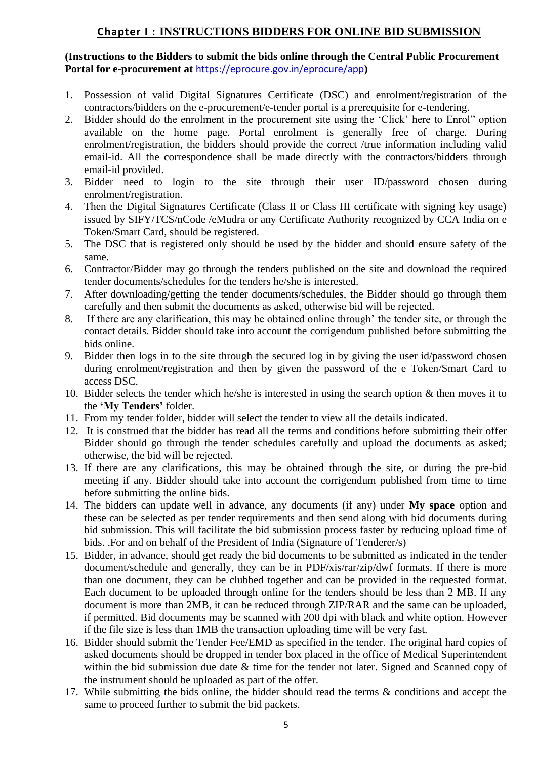## **Chapter I : INSTRUCTIONS BIDDERS FOR ONLINE BID SUBMISSION**

**(Instructions to the Bidders to submit the bids online through the Central Public Procurement Portal for e-procurement at** <https://eprocure.gov.in/eprocure/app>**)**

- 1. Possession of valid Digital Signatures Certificate (DSC) and enrolment/registration of the contractors/bidders on the e-procurement/e-tender portal is a prerequisite for e-tendering.
- 2. Bidder should do the enrolment in the procurement site using the 'Click' here to Enrol" option available on the home page. Portal enrolment is generally free of charge. During enrolment/registration, the bidders should provide the correct /true information including valid email-id. All the correspondence shall be made directly with the contractors/bidders through email-id provided.
- 3. Bidder need to login to the site through their user ID/password chosen during enrolment/registration.
- 4. Then the Digital Signatures Certificate (Class II or Class III certificate with signing key usage) issued by SIFY/TCS/nCode /eMudra or any Certificate Authority recognized by CCA India on e Token/Smart Card, should be registered.
- 5. The DSC that is registered only should be used by the bidder and should ensure safety of the same.
- 6. Contractor/Bidder may go through the tenders published on the site and download the required tender documents/schedules for the tenders he/she is interested.
- 7. After downloading/getting the tender documents/schedules, the Bidder should go through them carefully and then submit the documents as asked, otherwise bid will be rejected.
- 8. If there are any clarification, this may be obtained online through' the tender site, or through the contact details. Bidder should take into account the corrigendum published before submitting the bids online.
- 9. Bidder then logs in to the site through the secured log in by giving the user id/password chosen during enrolment/registration and then by given the password of the e Token/Smart Card to access DSC.
- 10. Bidder selects the tender which he/she is interested in using the search option & then moves it to the **'My Tenders'** folder.
- 11. From my tender folder, bidder will select the tender to view all the details indicated.
- 12. It is construed that the bidder has read all the terms and conditions before submitting their offer Bidder should go through the tender schedules carefully and upload the documents as asked; otherwise, the bid will be rejected.
- 13. If there are any clarifications, this may be obtained through the site, or during the pre-bid meeting if any. Bidder should take into account the corrigendum published from time to time before submitting the online bids.
- 14. The bidders can update well in advance, any documents (if any) under **My space** option and these can be selected as per tender requirements and then send along with bid documents during bid submission. This will facilitate the bid submission process faster by reducing upload time of bids. .For and on behalf of the President of India (Signature of Tenderer/s)
- 15. Bidder, in advance, should get ready the bid documents to be submitted as indicated in the tender document/schedule and generally, they can be in PDF/xis/rar/zip/dwf formats. If there is more than one document, they can be clubbed together and can be provided in the requested format. Each document to be uploaded through online for the tenders should be less than 2 MB. If any document is more than 2MB, it can be reduced through ZIP/RAR and the same can be uploaded, if permitted. Bid documents may be scanned with 200 dpi with black and white option. However if the file size is less than 1MB the transaction uploading time will be very fast.
- 16. Bidder should submit the Tender Fee/EMD as specified in the tender. The original hard copies of asked documents should be dropped in tender box placed in the office of Medical Superintendent within the bid submission due date & time for the tender not later. Signed and Scanned copy of the instrument should be uploaded as part of the offer.
- 17. While submitting the bids online, the bidder should read the terms & conditions and accept the same to proceed further to submit the bid packets.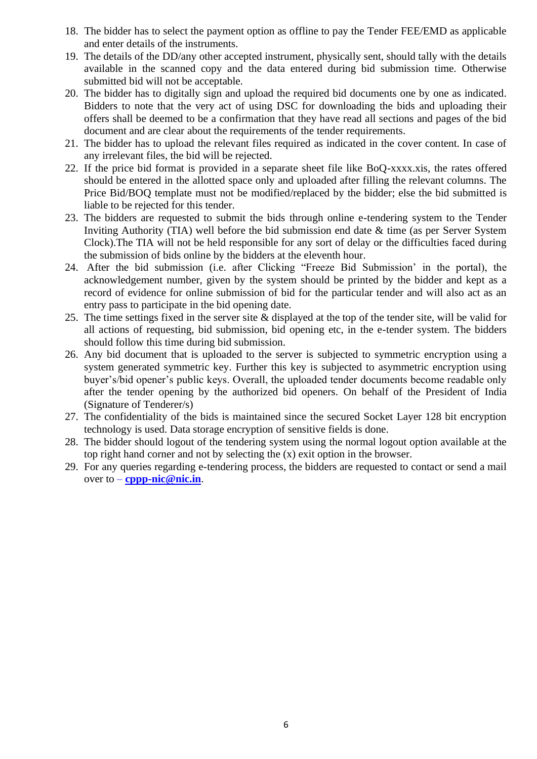- 18. The bidder has to select the payment option as offline to pay the Tender FEE/EMD as applicable and enter details of the instruments.
- 19. The details of the DD/any other accepted instrument, physically sent, should tally with the details available in the scanned copy and the data entered during bid submission time. Otherwise submitted bid will not be acceptable.
- 20. The bidder has to digitally sign and upload the required bid documents one by one as indicated. Bidders to note that the very act of using DSC for downloading the bids and uploading their offers shall be deemed to be a confirmation that they have read all sections and pages of the bid document and are clear about the requirements of the tender requirements.
- 21. The bidder has to upload the relevant files required as indicated in the cover content. In case of any irrelevant files, the bid will be rejected.
- 22. If the price bid format is provided in a separate sheet file like BoQ-xxxx.xis, the rates offered should be entered in the allotted space only and uploaded after filling the relevant columns. The Price Bid/BOQ template must not be modified/replaced by the bidder; else the bid submitted is liable to be rejected for this tender.
- 23. The bidders are requested to submit the bids through online e-tendering system to the Tender Inviting Authority (TIA) well before the bid submission end date & time (as per Server System Clock).The TIA will not be held responsible for any sort of delay or the difficulties faced during the submission of bids online by the bidders at the eleventh hour.
- 24. After the bid submission (i.e. after Clicking "Freeze Bid Submission' in the portal), the acknowledgement number, given by the system should be printed by the bidder and kept as a record of evidence for online submission of bid for the particular tender and will also act as an entry pass to participate in the bid opening date.
- 25. The time settings fixed in the server site & displayed at the top of the tender site, will be valid for all actions of requesting, bid submission, bid opening etc, in the e-tender system. The bidders should follow this time during bid submission.
- 26. Any bid document that is uploaded to the server is subjected to symmetric encryption using a system generated symmetric key. Further this key is subjected to asymmetric encryption using buyer's/bid opener's public keys. Overall, the uploaded tender documents become readable only after the tender opening by the authorized bid openers. On behalf of the President of India (Signature of Tenderer/s)
- 27. The confidentiality of the bids is maintained since the secured Socket Layer 128 bit encryption technology is used. Data storage encryption of sensitive fields is done.
- 28. The bidder should logout of the tendering system using the normal logout option available at the top right hand corner and not by selecting the (x) exit option in the browser.
- 29. For any queries regarding e-tendering process, the bidders are requested to contact or send a mail over to – **[cppp-nic@nic.in](mailto:cppp-nic@nic.in)**.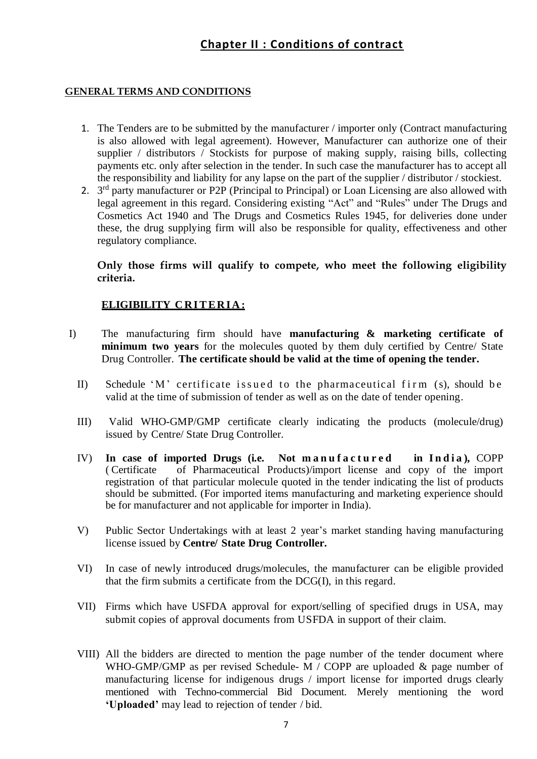# **Chapter II : Conditions of contract**

#### **GENERAL TERMS AND CONDITIONS**

- 1. The Tenders are to be submitted by the manufacturer / importer only (Contract manufacturing is also allowed with legal agreement). However, Manufacturer can authorize one of their supplier / distributors / Stockists for purpose of making supply, raising bills, collecting payments etc. only after selection in the tender. In such case the manufacturer has to accept all the responsibility and liability for any lapse on the part of the supplier / distributor / stockiest.
- 2. 3<sup>rd</sup> party manufacturer or P2P (Principal to Principal) or Loan Licensing are also allowed with legal agreement in this regard. Considering existing "Act" and "Rules" under The Drugs and Cosmetics Act 1940 and The Drugs and Cosmetics Rules 1945, for deliveries done under these, the drug supplying firm will also be responsible for quality, effectiveness and other regulatory compliance.

**Only those firms will qualify to compete, who meet the following eligibility criteria.**

## **ELIGIBILITY CRITERIA:**

- I) The manufacturing firm should have **manufacturing & marketing certificate of minimum two years** for the molecules quoted by them duly certified by Centre/ State Drug Controller. **The certificate should be valid at the time of opening the tender.**
	- II) Schedule 'M' certificate issued to the pharmaceutical firm (s), should be valid at the time of submission of tender as well as on the date of tender opening.
	- III) Valid WHO-GMP/GMP certificate clearly indicating the products (molecule/drug) issued by Centre/ State Drug Controller.
	- IV) In case of imported Drugs (i.e. Not manufactured in India), COPP ( Certificate of Pharmaceutical Products)/import license and copy of the import registration of that particular molecule quoted in the tender indicating the list of products should be submitted. (For imported items manufacturing and marketing experience should be for manufacturer and not applicable for importer in India).
	- V) Public Sector Undertakings with at least 2 year's market standing having manufacturing license issued by **Centre/ State Drug Controller.**
	- VI) In case of newly introduced drugs/molecules, the manufacturer can be eligible provided that the firm submits a certificate from the DCG(I), in this regard.
	- VII) Firms which have USFDA approval for export/selling of specified drugs in USA, may submit copies of approval documents from USFDA in support of their claim.
	- VIII) All the bidders are directed to mention the page number of the tender document where WHO-GMP/GMP as per revised Schedule- M / COPP are uploaded & page number of manufacturing license for indigenous drugs / import license for imported drugs clearly mentioned with Techno-commercial Bid Document. Merely mentioning the word **'Uploaded'** may lead to rejection of tender / bid.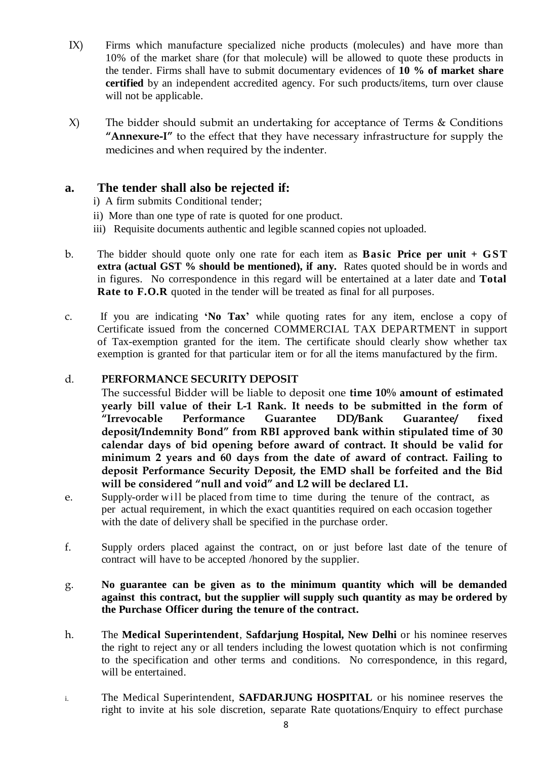- IX) Firms which manufacture specialized niche products (molecules) and have more than 10% of the market share (for that molecule) will be allowed to quote these products in the tender. Firms shall have to submit documentary evidences of **10 % of market share certified** by an independent accredited agency. For such products/items, turn over clause will not be applicable.
- X) The bidder should submit an undertaking for acceptance of Terms & Conditions **"Annexure-I"** to the effect that they have necessary infrastructure for supply the medicines and when required by the indenter.

## **a. The tender shall also be rejected if:**

- i) A firm submits Conditional tender;
- ii) More than one type of rate is quoted for one product.
- iii) Requisite documents authentic and legible scanned copies not uploaded.
- b. The bidder should quote only one rate for each item as **Basic Price per unit + GST extra (actual GST % should be mentioned), if any.** Rates quoted should be in words and in figures. No correspondence in this regard will be entertained at a later date and **Total Rate to F.O.R** quoted in the tender will be treated as final for all purposes.
- c. If you are indicating **'No Tax'** while quoting rates for any item, enclose a copy of Certificate issued from the concerned COMMERCIAL TAX DEPARTMENT in support of Tax-exemption granted for the item. The certificate should clearly show whether tax exemption is granted for that particular item or for all the items manufactured by the firm.

#### d. **PERFORMANCE SECURITY DEPOSIT**

The successful Bidder will be liable to deposit one **time 10% amount of estimated yearly bill value of their L-1 Rank. It needs to be submitted in the form of "Irrevocable Performance Guarantee DD/Bank Guarantee/ fixed deposit/Indemnity Bond" from RBI approved bank within stipulated time of 30 calendar days of bid opening before award of contract. It should be valid for minimum 2 years and 60 days from the date of award of contract. Failing to deposit Performance Security Deposit, the EMD shall be forfeited and the Bid will be considered "null and void" and L2 will be declared L1.**

- e. Supply-order will be placed from time to time during the tenure of the contract, as per actual requirement, in which the exact quantities required on each occasion together with the date of delivery shall be specified in the purchase order.
- f. Supply orders placed against the contract, on or just before last date of the tenure of contract will have to be accepted /honored by the supplier.

#### g. **No guarantee can be given as to the minimum quantity which will be demanded against this contract, but the supplier will supply such quantity as may be ordered by the Purchase Officer during the tenure of the contract.**

- h. The **Medical Superintendent**, **Safdarjung Hospital, New Delhi** or his nominee reserves the right to reject any or all tenders including the lowest quotation which is not confirming to the specification and other terms and conditions. No correspondence, in this regard, will be entertained.
- i. The Medical Superintendent, **SAFDARJUNG HOSPITAL** or his nominee reserves the right to invite at his sole discretion, separate Rate quotations/Enquiry to effect purchase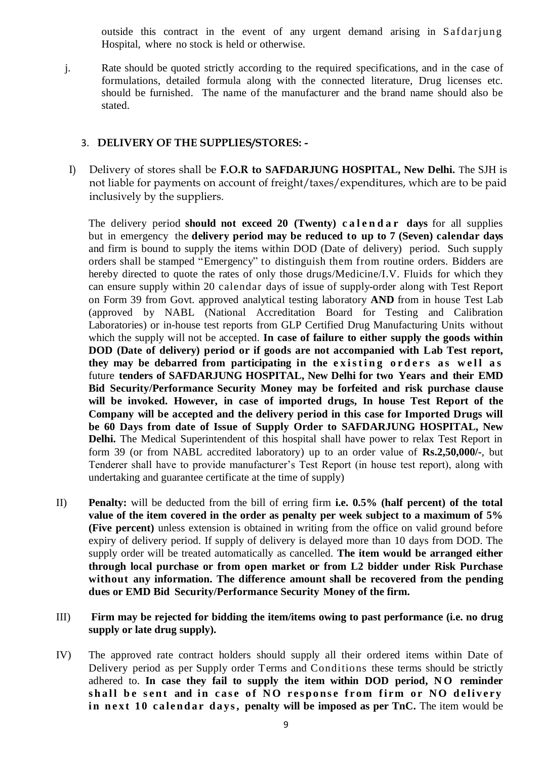outside this contract in the event of any urgent demand arising in Safdarjung Hospital, where no stock is held or otherwise.

j. Rate should be quoted strictly according to the required specifications, and in the case of formulations, detailed formula along with the connected literature, Drug licenses etc. should be furnished. The name of the manufacturer and the brand name should also be stated.

#### 3. **DELIVERY OF THE SUPPLIES/STORES: -**

I) Delivery of stores shall be **F.O.R to SAFDARJUNG HOSPITAL, New Delhi.** The SJH is not liable for payments on account of freight/taxes/expenditures, which are to be paid inclusively by the suppliers.

The delivery period **should not exceed 20 (Twenty) c a l e n d a r days** for all supplies but in emergency the **delivery period may be reduced to up to 7 (Seven) calendar days** and firm is bound to supply the items within DOD (Date of delivery) period. Such supply orders shall be stamped "Emergency" to distinguish them from routine orders. Bidders are hereby directed to quote the rates of only those drugs/Medicine/I.V. Fluids for which they can ensure supply within 20 calendar days of issue of supply-order along with Test Report on Form 39 from Govt. approved analytical testing laboratory **AND** from in house Test Lab (approved by NABL (National Accreditation Board for Testing and Calibration Laboratories) or in-house test reports from GLP Certified Drug Manufacturing Units without which the supply will not be accepted. **In case of failure to either supply the goods within DOD (Date of delivery) period or if goods are not accompanied with Lab Test report, they** may be debarred from participating in the existing orders as well as future **tenders of SAFDARJUNG HOSPITAL, New Delhi for two Years and their EMD Bid Security/Performance Security Money may be forfeited and risk purchase clause will be invoked. However, in case of imported drugs, In house Test Report of the Company will be accepted and the delivery period in this case for Imported Drugs will be 60 Days from date of Issue of Supply Order to SAFDARJUNG HOSPITAL, New Delhi.** The Medical Superintendent of this hospital shall have power to relax Test Report in form 39 (or from NABL accredited laboratory) up to an order value of **Rs.2,50,000/-**, but Tenderer shall have to provide manufacturer's Test Report (in house test report), along with undertaking and guarantee certificate at the time of supply)

- II) **Penalty:** will be deducted from the bill of erring firm **i.e. 0.5% (half percent) of the total value of the item covered in the order as penalty per week subject to a maximum of 5% (Five percent)** unless extension is obtained in writing from the office on valid ground before expiry of delivery period. If supply of delivery is delayed more than 10 days from DOD. The supply order will be treated automatically as cancelled. **The item would be arranged either through local purchase or from open market or from L2 bidder under Risk Purchase without any information. The difference amount shall be recovered from the pending dues or EMD Bid Security/Performance Security Money of the firm.**
- III) **Firm may be rejected for bidding the item/items owing to past performance (i.e. no drug supply or late drug supply).**
- IV) The approved rate contract holders should supply all their ordered items within Date of Delivery period as per Supply order Terms and Conditions these terms should be strictly adhered to. **In case they fail to supply the item within DOD period, N O reminder** shall be sent and in case of NO response from firm or NO delivery **in next 10 calendar days, penalty will be imposed as per TnC.** The item would be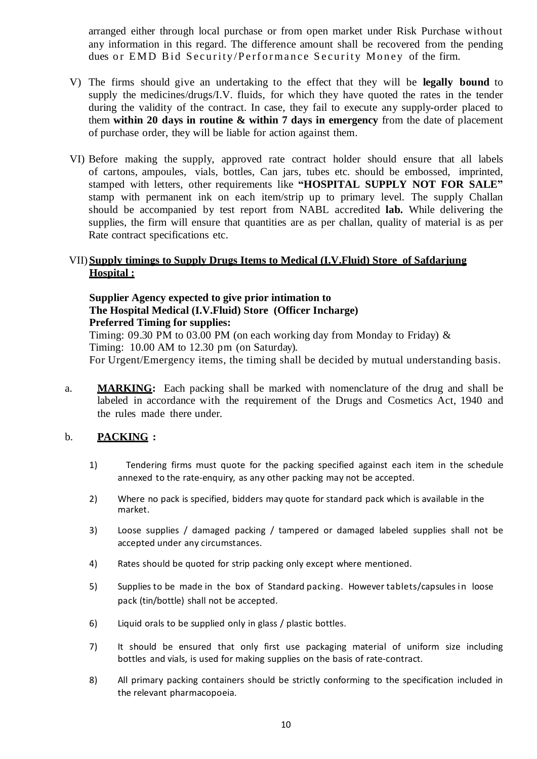arranged either through local purchase or from open market under Risk Purchase without any information in this regard. The difference amount shall be recovered from the pending dues or EMD Bid Security/Performance Security Money of the firm.

- V) The firms should give an undertaking to the effect that they will be **legally bound** to supply the medicines/drugs/I.V. fluids, for which they have quoted the rates in the tender during the validity of the contract. In case, they fail to execute any supply-order placed to them **within 20 days in routine & within 7 days in emergency** from the date of placement of purchase order, they will be liable for action against them.
- VI) Before making the supply, approved rate contract holder should ensure that all labels of cartons, ampoules, vials, bottles, Can jars, tubes etc. should be embossed, imprinted, stamped with letters, other requirements like **"HOSPITAL SUPPLY NOT FOR SALE"** stamp with permanent ink on each item/strip up to primary level. The supply Challan should be accompanied by test report from NABL accredited **lab.** While delivering the supplies, the firm will ensure that quantities are as per challan, quality of material is as per Rate contract specifications etc.

#### VII) **Supply timings to Supply Drugs Items to Medical (I.V.Fluid) Store of Safdarjung Hospital :**

#### **Supplier Agency expected to give prior intimation to The Hospital Medical (I.V.Fluid) Store (Officer Incharge) Preferred Timing for supplies:**

Timing: 09.30 PM to 03.00 PM (on each working day from Monday to Friday)  $\&$ Timing: 10.00 AM to 12.30 pm (on Saturday).

For Urgent/Emergency items, the timing shall be decided by mutual understanding basis.

a. **MARKING:** Each packing shall be marked with nomenclature of the drug and shall be labeled in accordance with the requirement of the Drugs and Cosmetics Act, 1940 and the rules made there under.

#### b. **PACKING :**

- 1) Tendering firms must quote for the packing specified against each item in the schedule annexed to the rate-enquiry, as any other packing may not be accepted.
- 2) Where no pack is specified, bidders may quote for standard pack which is available in the market.
- 3) Loose supplies / damaged packing / tampered or damaged labeled supplies shall not be accepted under any circumstances.
- 4) Rates should be quoted for strip packing only except where mentioned.
- 5) Supplies to be made in the box of Standard packing. However tablets/capsules in loose pack (tin/bottle) shall not be accepted.
- 6) Liquid orals to be supplied only in glass / plastic bottles.
- 7) It should be ensured that only first use packaging material of uniform size including bottles and vials, is used for making supplies on the basis of rate-contract.
- 8) All primary packing containers should be strictly conforming to the specification included in the relevant pharmacopoeia.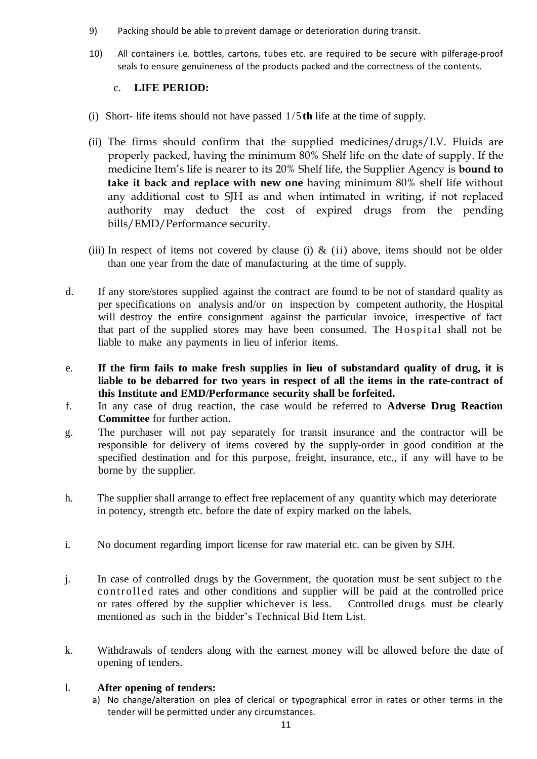- 9) Packing should be able to prevent damage or deterioration during transit.
- 10) All containers i.e. bottles, cartons, tubes etc. are required to be secure with pilferage-proof seals to ensure genuineness of the products packed and the correctness of the contents.

#### c. **LIFE PERIOD:**

- (i) Short- life items should not have passed 1/5**th** life at the time of supply.
- (ii) The firms should confirm that the supplied medicines/drugs/I.V. Fluids are properly packed, having the minimum 80% Shelf life on the date of supply. If the medicine Item's life is nearer to its 20% Shelf life, the Supplier Agency is **bound to take it back and replace with new one** having minimum 80% shelf life without any additional cost to SJH as and when intimated in writing, if not replaced authority may deduct the cost of expired drugs from the pending bills/EMD/Performance security.
- (iii) In respect of items not covered by clause (i)  $\&$  (ii) above, items should not be older than one year from the date of manufacturing at the time of supply.
- d. If any store/stores supplied against the contract are found to be not of standard quality as per specifications on analysis and/or on inspection by competent authority, the Hospital will destroy the entire consignment against the particular invoice, irrespective of fact that part of the supplied stores may have been consumed. The H ospital shall not be liable to make any payments in lieu of inferior items.
- e. **If the firm fails to make fresh supplies in lieu of substandard quality of drug, it is liable to be debarred for two years in respect of all the items in the rate-contract of this Institute and EMD/Performance security shall be forfeited.**
- f. In any case of drug reaction, the case would be referred to **Adverse Drug Reaction Committee** for further action.
- g. The purchaser will not pay separately for transit insurance and the contractor will be responsible for delivery of items covered by the supply-order in good condition at the specified destination and for this purpose, freight, insurance, etc., if any will have to be borne by the supplier.
- h. The supplier shall arrange to effect free replacement of any quantity which may deteriorate in potency, strength etc. before the date of expiry marked on the labels.
- i. No document regarding import license for raw material etc. can be given by SJH.
- j. In case of controlled drugs by the Government, the quotation must be sent subject to the controll ed rates and other conditions and supplier will be paid at the controlled price or rates offered by the supplier whichever is less. Controlled drugs must be clearly mentioned as such in the bidder's Technical Bid Item List.
- k. Withdrawals of tenders along with the earnest money will be allowed before the date of opening of tenders.

#### l. **After opening of tenders:**

a) No change/alteration on plea of clerical or typographical error in rates or other terms in the tender will be permitted under any circumstances.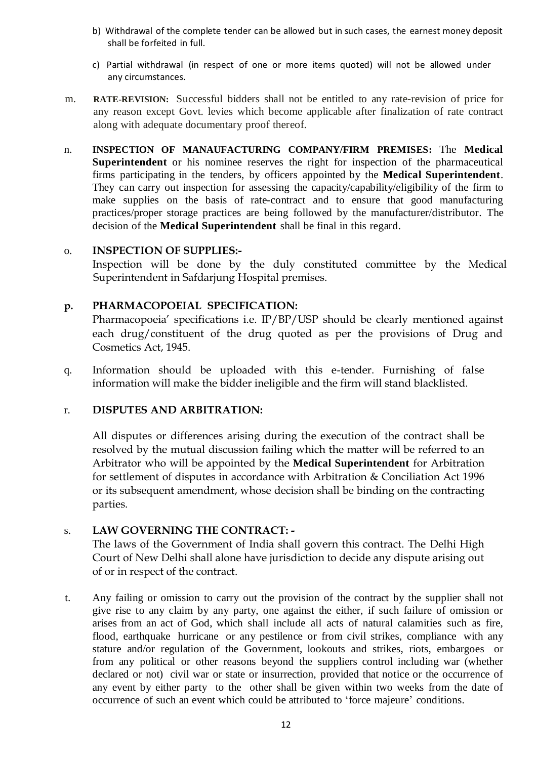- b) Withdrawal of the complete tender can be allowed but in such cases, the earnest money deposit shall be forfeited in full.
- c) Partial withdrawal (in respect of one or more items quoted) will not be allowed under any circumstances.
- m. **RATE-REVISION:** Successful bidders shall not be entitled to any rate-revision of price for any reason except Govt. levies which become applicable after finalization of rate contract along with adequate documentary proof thereof.
- n. **INSPECTION OF MANAUFACTURING COMPANY/FIRM PREMISES:** The **Medical Superintendent** or his nominee reserves the right for inspection of the pharmaceutical firms participating in the tenders, by officers appointed by the **Medical Superintendent**. They can carry out inspection for assessing the capacity/capability/eligibility of the firm to make supplies on the basis of rate-contract and to ensure that good manufacturing practices/proper storage practices are being followed by the manufacturer/distributor. The decision of the **Medical Superintendent** shall be final in this regard.

#### o. **INSPECTION OF SUPPLIES:-**

Inspection will be done by the duly constituted committee by the Medical Superintendent in Safdarjung Hospital premises.

#### **p. PHARMACOPOEIAL SPECIFICATION:**

Pharmacopoeia' specifications i.e. IP/BP/USP should be clearly mentioned against each drug/constituent of the drug quoted as per the provisions of Drug and Cosmetics Act, 1945.

q. Information should be uploaded with this e-tender. Furnishing of false information will make the bidder ineligible and the firm will stand blacklisted.

#### r. **DISPUTES AND ARBITRATION:**

All disputes or differences arising during the execution of the contract shall be resolved by the mutual discussion failing which the matter will be referred to an Arbitrator who will be appointed by the **Medical Superintendent** for Arbitration for settlement of disputes in accordance with Arbitration & Conciliation Act 1996 or its subsequent amendment, whose decision shall be binding on the contracting parties.

#### s. **LAW GOVERNING THE CONTRACT: -**

The laws of the Government of India shall govern this contract. The Delhi High Court of New Delhi shall alone have jurisdiction to decide any dispute arising out of or in respect of the contract.

t. Any failing or omission to carry out the provision of the contract by the supplier shall not give rise to any claim by any party, one against the either, if such failure of omission or arises from an act of God, which shall include all acts of natural calamities such as fire, flood, earthquake hurricane or any pestilence or from civil strikes, compliance with any stature and/or regulation of the Government, lookouts and strikes, riots, embargoes or from any political or other reasons beyond the suppliers control including war (whether declared or not) civil war or state or insurrection, provided that notice or the occurrence of any event by either party to the other shall be given within two weeks from the date of occurrence of such an event which could be attributed to 'force majeure' conditions.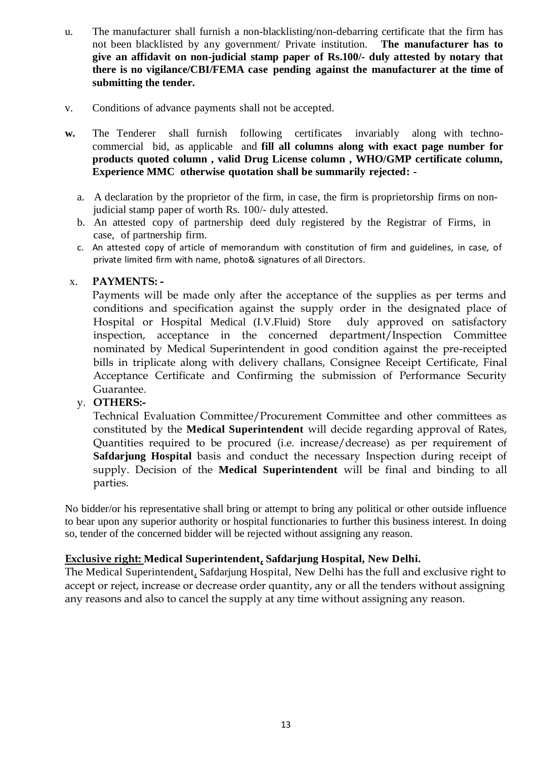- u. The manufacturer shall furnish a non-blacklisting/non-debarring certificate that the firm has not been blacklisted by any government/ Private institution. **The manufacturer has to give an affidavit on non-judicial stamp paper of Rs.100/- duly attested by notary that there is no vigilance/CBI/FEMA case pending against the manufacturer at the time of submitting the tender.**
- v. Conditions of advance payments shall not be accepted.
- w. The Tenderer shall furnish following certificates invariably along with technocommercial bid, as applicable and **fill all columns along with exact page number for products quoted column , valid Drug License column , WHO/GMP certificate column, Experience MMC otherwise quotation shall be summarily rejected:** 
	- a. A declaration by the proprietor of the firm, in case, the firm is proprietorship firms on nonjudicial stamp paper of worth Rs. 100/- duly attested.
	- b. An attested copy of partnership deed duly registered by the Registrar of Firms, in case, of partnership firm.
	- c. An attested copy of article of memorandum with constitution of firm and guidelines, in case, of private limited firm with name, photo& signatures of all Directors.

#### x. **PAYMENTS: -**

Payments will be made only after the acceptance of the supplies as per terms and conditions and specification against the supply order in the designated place of Hospital or Hospital Medical (I.V.Fluid) Store duly approved on satisfactory inspection, acceptance in the concerned department/Inspection Committee nominated by Medical Superintendent in good condition against the pre-receipted bills in triplicate along with delivery challans, Consignee Receipt Certificate, Final Acceptance Certificate and Confirming the submission of Performance Security Guarantee.

#### y. **OTHERS:-**

Technical Evaluation Committee/Procurement Committee and other committees as constituted by the **Medical Superintendent** will decide regarding approval of Rates, Quantities required to be procured (i.e. increase/decrease) as per requirement of **Safdarjung Hospital** basis and conduct the necessary Inspection during receipt of supply. Decision of the **Medical Superintendent** will be final and binding to all parties.

No bidder/or his representative shall bring or attempt to bring any political or other outside influence to bear upon any superior authority or hospital functionaries to further this business interest. In doing so, tender of the concerned bidder will be rejected without assigning any reason.

#### **Exclusive right: Medical Superintendent, Safdarjung Hospital, New Delhi.**

The Medical Superintendent, Safdarjung Hospital, New Delhi has the full and exclusive right to accept or reject, increase or decrease order quantity, any or all the tenders without assigning any reasons and also to cancel the supply at any time without assigning any reason.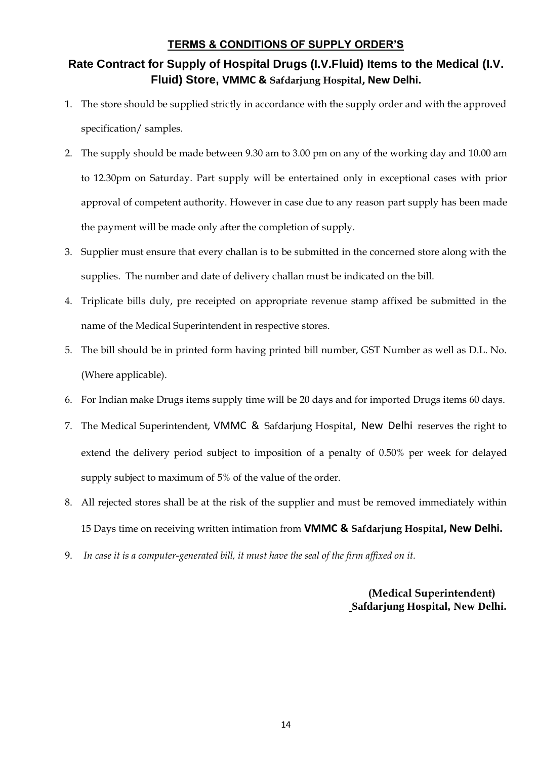#### **TERMS & CONDITIONS OF SUPPLY ORDER'S**

# **Rate Contract for Supply of Hospital Drugs (I.V.Fluid) Items to the Medical (I.V. Fluid) Store, VMMC & Safdarjung Hospital, New Delhi.**

- 1. The store should be supplied strictly in accordance with the supply order and with the approved specification/ samples.
- 2. The supply should be made between 9.30 am to 3.00 pm on any of the working day and 10.00 am to 12.30pm on Saturday. Part supply will be entertained only in exceptional cases with prior approval of competent authority. However in case due to any reason part supply has been made the payment will be made only after the completion of supply.
- 3. Supplier must ensure that every challan is to be submitted in the concerned store along with the supplies. The number and date of delivery challan must be indicated on the bill.
- 4. Triplicate bills duly, pre receipted on appropriate revenue stamp affixed be submitted in the name of the Medical Superintendent in respective stores.
- 5. The bill should be in printed form having printed bill number, GST Number as well as D.L. No. (Where applicable).
- 6. For Indian make Drugs items supply time will be 20 days and for imported Drugs items 60 days.
- 7. The Medical Superintendent, VMMC & Safdarjung Hospital, New Delhi reserves the right to extend the delivery period subject to imposition of a penalty of 0.50% per week for delayed supply subject to maximum of 5% of the value of the order.
- 8. All rejected stores shall be at the risk of the supplier and must be removed immediately within 15 Days time on receiving written intimation from **VMMC & Safdarjung Hospital, New Delhi.**
- 9. *In case it is a computer-generated bill, it must have the seal of the firm affixed on it.*

**(Medical Superintendent) Safdarjung Hospital, New Delhi.**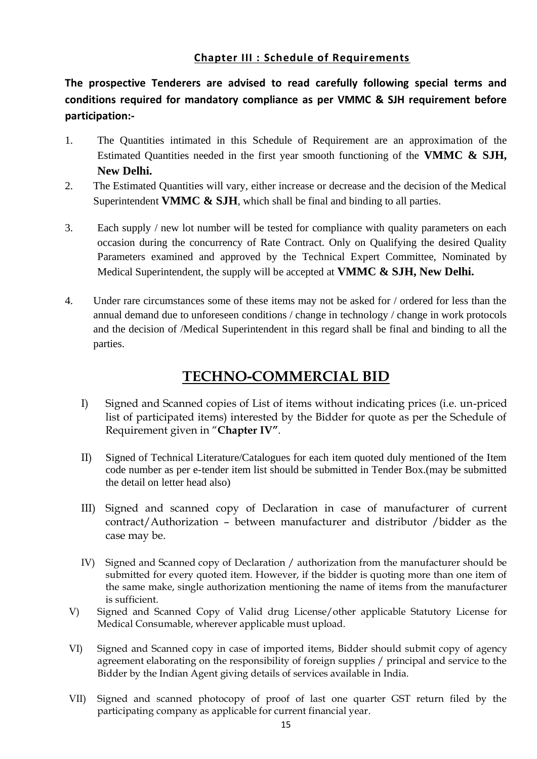## **Chapter III : Schedule of Requirements**

**The prospective Tenderers are advised to read carefully following special terms and conditions required for mandatory compliance as per VMMC & SJH requirement before participation:-**

- 1. The Quantities intimated in this Schedule of Requirement are an approximation of the Estimated Quantities needed in the first year smooth functioning of the **VMMC & SJH, New Delhi.**
- 2. The Estimated Quantities will vary, either increase or decrease and the decision of the Medical Superintendent **VMMC & SJH**, which shall be final and binding to all parties.
- 3. Each supply / new lot number will be tested for compliance with quality parameters on each occasion during the concurrency of Rate Contract. Only on Qualifying the desired Quality Parameters examined and approved by the Technical Expert Committee, Nominated by Medical Superintendent, the supply will be accepted at **VMMC & SJH, New Delhi.**
- 4. Under rare circumstances some of these items may not be asked for / ordered for less than the annual demand due to unforeseen conditions / change in technology / change in work protocols and the decision of /Medical Superintendent in this regard shall be final and binding to all the parties.

# **TECHNO-COMMERCIAL BID**

- I) Signed and Scanned copies of List of items without indicating prices (i.e. un-priced list of participated items) interested by the Bidder for quote as per the Schedule of Requirement given in "**Chapter IV"**.
- II) Signed of Technical Literature/Catalogues for each item quoted duly mentioned of the Item code number as per e-tender item list should be submitted in Tender Box.(may be submitted the detail on letter head also)
- III) Signed and scanned copy of Declaration in case of manufacturer of current contract/Authorization – between manufacturer and distributor /bidder as the case may be.
- IV) Signed and Scanned copy of Declaration / authorization from the manufacturer should be submitted for every quoted item. However, if the bidder is quoting more than one item of the same make, single authorization mentioning the name of items from the manufacturer is sufficient.
- V) Signed and Scanned Copy of Valid drug License/other applicable Statutory License for Medical Consumable, wherever applicable must upload.
- VI) Signed and Scanned copy in case of imported items, Bidder should submit copy of agency agreement elaborating on the responsibility of foreign supplies / principal and service to the Bidder by the Indian Agent giving details of services available in India.
- VII) Signed and scanned photocopy of proof of last one quarter GST return filed by the participating company as applicable for current financial year.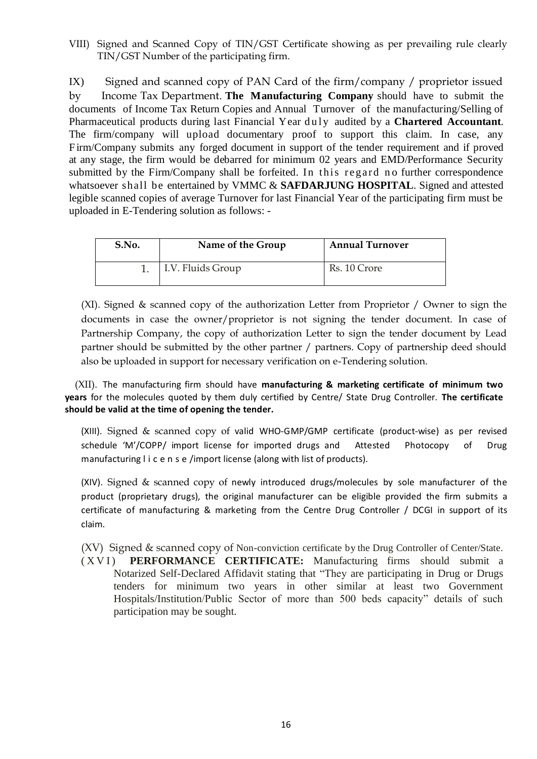VIII) Signed and Scanned Copy of TIN/GST Certificate showing as per prevailing rule clearly TIN/GST Number of the participating firm.

IX) Signed and scanned copy of PAN Card of the firm/company / proprietor issued by Income Tax Department. **The Manufacturing Company** should have to submit the documents of Income Tax Return Copies and Annual Turnover of the manufacturing/Selling of Pharmaceutical products during last Financial Year duly audited by a **Chartered Accountant**. The firm/company will upload documentary proof to support this claim. In case, any Firm/Company submits any forged document in support of the tender requirement and if proved at any stage, the firm would be debarred for minimum 02 years and EMD/Performance Security submitted by the Firm/Company shall be forfeited. In this regard no further correspondence whatsoever shall be entertained by VMMC & **SAFDARJUNG HOSPITAL**. Signed and attested legible scanned copies of average Turnover for last Financial Year of the participating firm must be uploaded in E-Tendering solution as follows: -

| S.No. | Name of the Group | <b>Annual Turnover</b> |
|-------|-------------------|------------------------|
|       | I.V. Fluids Group | Rs. 10 Crore           |

(XI). Signed & scanned copy of the authorization Letter from Proprietor / Owner to sign the documents in case the owner/proprietor is not signing the tender document. In case of Partnership Company, the copy of authorization Letter to sign the tender document by Lead partner should be submitted by the other partner / partners. Copy of partnership deed should also be uploaded in support for necessary verification on e-Tendering solution.

 (XII). The manufacturing firm should have **manufacturing & marketing certificate of minimum two years** for the molecules quoted by them duly certified by Centre/ State Drug Controller. **The certificate should be valid at the time of opening the tender.**

(XIII). Signed & scanned copy of valid WHO-GMP/GMP certificate (product-wise) as per revised schedule 'M'/COPP/ import license for imported drugs and Attested Photocopy of Drug manufacturing l i c e n s e /import license (along with list of products).

(XIV). Signed & scanned copy of newly introduced drugs/molecules by sole manufacturer of the product (proprietary drugs), the original manufacturer can be eligible provided the firm submits a certificate of manufacturing & marketing from the Centre Drug Controller / DCGI in support of its claim.

(XV) Signed & scanned copy of Non-conviction certificate by the Drug Controller of Center/State.

(XVI) **PERFORMANCE CERTIFICATE:** Manufacturing firms should submit a Notarized Self-Declared Affidavit stating that "They are participating in Drug or Drugs tenders for minimum two years in other similar at least two Government Hospitals/Institution/Public Sector of more than 500 beds capacity" details of such participation may be sought.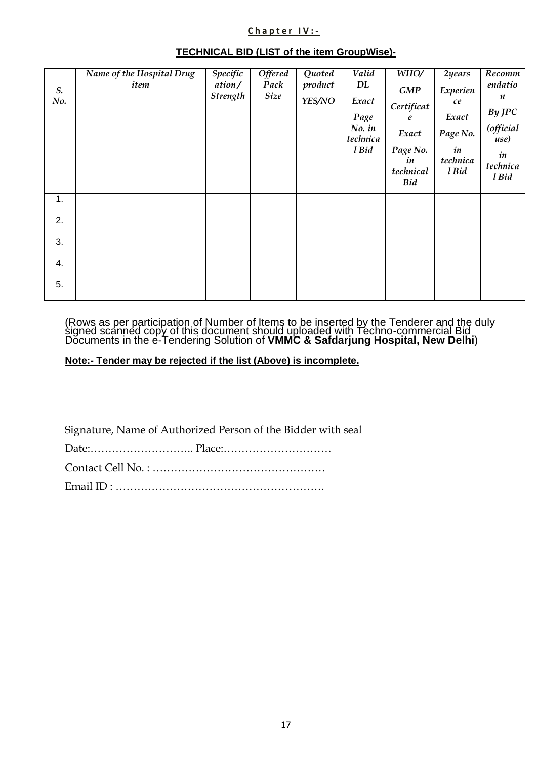#### **C h a p t e r I V : -**

|                    | Name of the Hospital Drug | Specific                  | <b>Offered</b>      | Quoted            | Valid                           | WHO/                                      | 2years                  | Recomm                              |
|--------------------|---------------------------|---------------------------|---------------------|-------------------|---------------------------------|-------------------------------------------|-------------------------|-------------------------------------|
| $S_{\cdot}$<br>No. | item                      | ation/<br><b>Strength</b> | Pack<br><b>Size</b> | product<br>YES/NO | DL<br>Exact<br>Page<br>$No.$ in | GMP<br>Certificat<br>e                    | Experien<br>ce<br>Exact | endatio<br>n<br>By JPC<br>(official |
|                    |                           |                           |                     |                   | technica                        | Exact                                     | Page No.                | use)                                |
|                    |                           |                           |                     |                   | l Bid                           | Page No.<br>in<br>technical<br><b>Bid</b> | in<br>technica<br>l Bid | in<br>technica<br>l Bid             |
| 1.                 |                           |                           |                     |                   |                                 |                                           |                         |                                     |
| 2.                 |                           |                           |                     |                   |                                 |                                           |                         |                                     |
| 3.                 |                           |                           |                     |                   |                                 |                                           |                         |                                     |
| 4.                 |                           |                           |                     |                   |                                 |                                           |                         |                                     |
| 5.                 |                           |                           |                     |                   |                                 |                                           |                         |                                     |

#### **TECHNICAL BID (LIST of the item GroupWise)-**

(Rows as per participation of Number of Items to be inserted by the Tenderer and the duly signed scanned copy of this document should uploaded with Techno-commercial Bid Documents in the e-Tendering Solution of **VMMC & Safdarjung Hospital, New Delhi**)

#### **Note:- Tender may be rejected if the list (Above) is incomplete.**

Signature, Name of Authorized Person of the Bidder with seal

Date:……………………….. Place:…………………………

Contact Cell No. : ………………………………………… Email ID : ………………………………………………….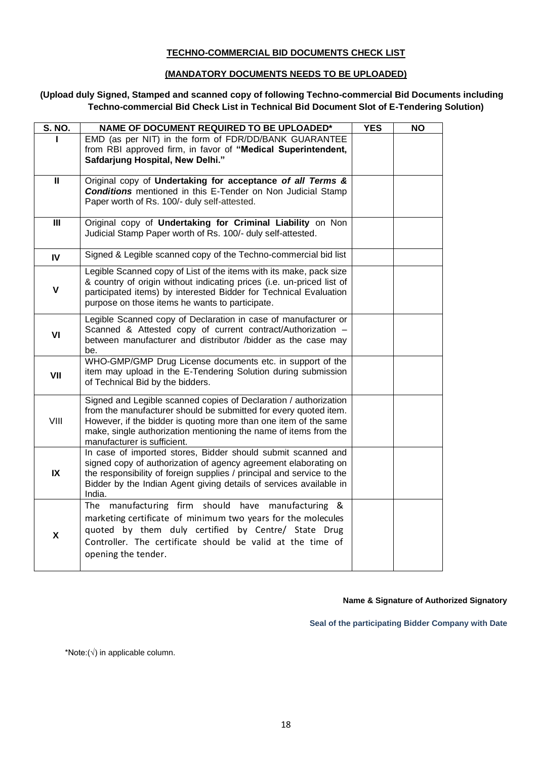#### **TECHNO-COMMERCIAL BID DOCUMENTS CHECK LIST**

#### **(MANDATORY DOCUMENTS NEEDS TO BE UPLOADED)**

#### **(Upload duly Signed, Stamped and scanned copy of following Techno-commercial Bid Documents including Techno-commercial Bid Check List in Technical Bid Document Slot of E-Tendering Solution)**

| <b>S. NO.</b> | NAME OF DOCUMENT REQUIRED TO BE UPLOADED*                                                                                                                                                                                                                                                                   | <b>YES</b> | <b>NO</b> |
|---------------|-------------------------------------------------------------------------------------------------------------------------------------------------------------------------------------------------------------------------------------------------------------------------------------------------------------|------------|-----------|
|               | EMD (as per NIT) in the form of FDR/DD/BANK GUARANTEE<br>from RBI approved firm, in favor of "Medical Superintendent,<br>Safdarjung Hospital, New Delhi."                                                                                                                                                   |            |           |
| $\mathbf{I}$  | Original copy of Undertaking for acceptance of all Terms &<br><b>Conditions</b> mentioned in this E-Tender on Non Judicial Stamp<br>Paper worth of Rs. 100/- duly self-attested.                                                                                                                            |            |           |
| III           | Original copy of Undertaking for Criminal Liability on Non<br>Judicial Stamp Paper worth of Rs. 100/- duly self-attested.                                                                                                                                                                                   |            |           |
| IV            | Signed & Legible scanned copy of the Techno-commercial bid list                                                                                                                                                                                                                                             |            |           |
| $\mathsf{V}$  | Legible Scanned copy of List of the items with its make, pack size<br>& country of origin without indicating prices (i.e. un-priced list of<br>participated items) by interested Bidder for Technical Evaluation<br>purpose on those items he wants to participate.                                         |            |           |
| VI            | Legible Scanned copy of Declaration in case of manufacturer or<br>Scanned & Attested copy of current contract/Authorization -<br>between manufacturer and distributor /bidder as the case may<br>be.                                                                                                        |            |           |
| VII           | WHO-GMP/GMP Drug License documents etc. in support of the<br>item may upload in the E-Tendering Solution during submission<br>of Technical Bid by the bidders.                                                                                                                                              |            |           |
| VIII          | Signed and Legible scanned copies of Declaration / authorization<br>from the manufacturer should be submitted for every quoted item.<br>However, if the bidder is quoting more than one item of the same<br>make, single authorization mentioning the name of items from the<br>manufacturer is sufficient. |            |           |
| IX            | In case of imported stores, Bidder should submit scanned and<br>signed copy of authorization of agency agreement elaborating on<br>the responsibility of foreign supplies / principal and service to the<br>Bidder by the Indian Agent giving details of services available in<br>India.                    |            |           |
| X             | The manufacturing firm should<br>have<br>manufacturing &<br>marketing certificate of minimum two years for the molecules<br>quoted by them duly certified by Centre/ State Drug<br>Controller. The certificate should be valid at the time of<br>opening the tender.                                        |            |           |

#### **Name & Signature of Authorized Signatory**

**Seal of the participating Bidder Company with Date**

\*Note:(√) in applicable column.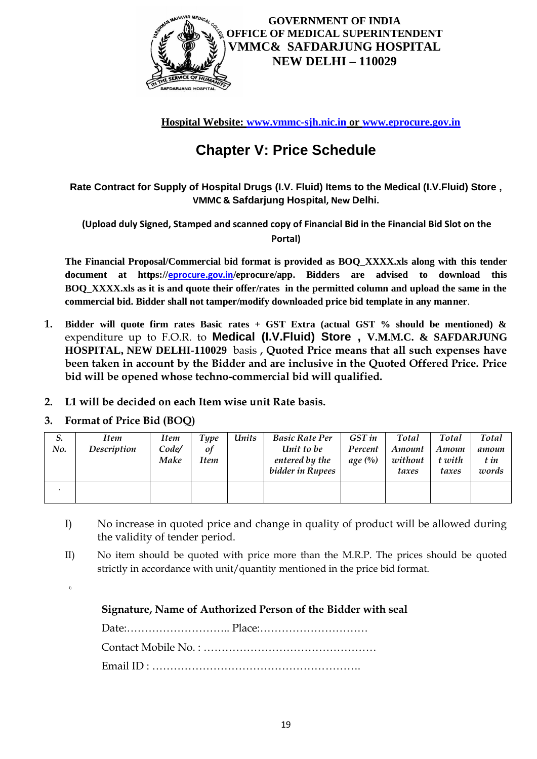

**Hospital Website: [www.vmmc-sjh.nic.in](http://www.vmmc-sjh.nic.in/) or [www.eprocure.gov.in](http://www.eprocure.gov.in/)**

# **Chapter V: Price Schedule**

**Rate Contract for Supply of Hospital Drugs (I.V. Fluid) Items to the Medical (I.V.Fluid) Store , VMMC & Safdarjung Hospital, New Delhi.**

**(Upload duly Signed, Stamped and scanned copy of Financial Bid in the Financial Bid Slot on the Portal)**

**The Financial Proposal/Commercial bid format is provided as BOQ\_XXXX.xls along with this tender document at https://[eprocure.gov.in](http://www.eprocure.gov.in/)/eprocure/app. Bidders are advised to download this BOQ\_XXXX.xls as it is and quote their offer/rates in the permitted column and upload the same in the commercial bid. Bidder shall not tamper/modify downloaded price bid template in any manner**.

- **1. Bidder will quote firm rates Basic rates + GST Extra (actual GST % should be mentioned) &** expenditure up to F.O.R. to **Medical (I.V.Fluid) Store , V.M.M.C. & SAFDARJUNG HOSPITAL, NEW DELHI-110029** basis **, Quoted Price means that all such expenses have been taken in account by the Bidder and are inclusive in the Quoted Offered Price. Price bid will be opened whose techno-commercial bid will qualified.**
- **2. L1 will be decided on each Item wise unit Rate basis.**

## **3. Format of Price Bid (BOQ)**

| 5.<br>No. | <b>Item</b><br>Description | Item<br>Code/<br>Make | Type<br>of<br>Item | Units | <b>Basic Rate Per</b><br>Unit to be<br>entered by the<br>bidder in Rupees | GST in<br>Percent<br>$age\left(\frac{0}{0}\right)$ | Total<br>Amount<br>without<br>taxes | Total<br>Amoun<br>t with<br>taxes | <b>Total</b><br>amoun<br>t in<br>words |
|-----------|----------------------------|-----------------------|--------------------|-------|---------------------------------------------------------------------------|----------------------------------------------------|-------------------------------------|-----------------------------------|----------------------------------------|
|           |                            |                       |                    |       |                                                                           |                                                    |                                     |                                   |                                        |

- I) No increase in quoted price and change in quality of product will be allowed during the validity of tender period.
- II) No item should be quoted with price more than the M.R.P. The prices should be quoted strictly in accordance with unit/quantity mentioned in the price bid format.
- I)

**Signature, Name of Authorized Person of the Bidder with seal**

Date:……………………….. Place:………………………… Contact Mobile No. : ………………………………………… Email ID : ………………………………………………….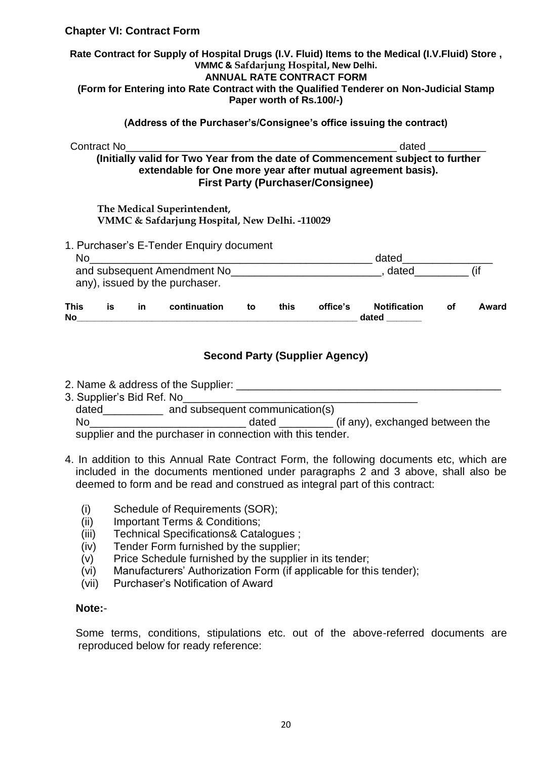#### **Chapter VI: Contract Form**

#### **Rate Contract for Supply of Hospital Drugs (I.V. Fluid) Items to the Medical (I.V.Fluid) Store , VMMC & Safdarjung Hospital, New Delhi. ANNUAL RATE CONTRACT FORM (Form for Entering into Rate Contract with the Qualified Tenderer on Non-Judicial Stamp Paper worth of Rs.100/-)**

#### **(Address of the Purchaser's/Consignee's office issuing the contract)**

| Contract No                                                                    | dated |
|--------------------------------------------------------------------------------|-------|
| (Initially valid for Two Year from the date of Commencement subject to further |       |
| extendable for One more year after mutual agreement basis).                    |       |
| <b>First Party (Purchaser/Consignee)</b>                                       |       |

#### **The Medical Superintendent, VMMC & Safdarjung Hospital, New Delhi. -110029**

| 1. Purchaser's E-Tender Enquiry document |  |
|------------------------------------------|--|
|                                          |  |

| No                                                            |    |    |              |    |      |          | dated                        |    |       |  |
|---------------------------------------------------------------|----|----|--------------|----|------|----------|------------------------------|----|-------|--|
| and subsequent Amendment No<br>any), issued by the purchaser. |    |    |              |    |      | dated    |                              |    |       |  |
| <b>This</b><br><b>No</b>                                      | is | in | continuation | to | this | office's | <b>Notification</b><br>dated | Οf | Award |  |

#### **Second Party (Supplier Agency)**

2. Name & address of the Supplier: \_\_\_\_\_\_\_\_\_\_\_\_\_\_\_\_\_\_\_\_\_\_\_\_\_\_\_\_\_\_\_\_\_\_\_\_\_\_\_\_\_\_\_\_

3. Supplier's Bid Ref. No\_\_\_\_\_\_\_\_\_\_\_\_\_\_\_\_\_\_\_\_\_\_\_\_\_\_\_\_\_\_\_\_\_\_\_\_\_\_\_ dated and subsequent communication(s)

No\_\_\_\_\_\_\_\_\_\_\_\_\_\_\_\_\_\_\_\_\_\_\_\_\_\_ dated \_\_\_\_\_\_\_\_\_ (if any), exchanged between the supplier and the purchaser in connection with this tender.

- 4. In addition to this Annual Rate Contract Form, the following documents etc, which are included in the documents mentioned under paragraphs 2 and 3 above, shall also be deemed to form and be read and construed as integral part of this contract:
	- (i) Schedule of Requirements (SOR);
	- (ii) Important Terms & Conditions;
	- (iii) Technical Specifications& Catalogues ;
	- (iv) Tender Form furnished by the supplier;
	- $(v)$  Price Schedule furnished by the supplier in its tender;
	- (vi) Manufacturers' Authorization Form (if applicable for this tender);
	- (vii) Purchaser's Notification of Award

#### **Note:**-

Some terms, conditions, stipulations etc. out of the above-referred documents are reproduced below for ready reference: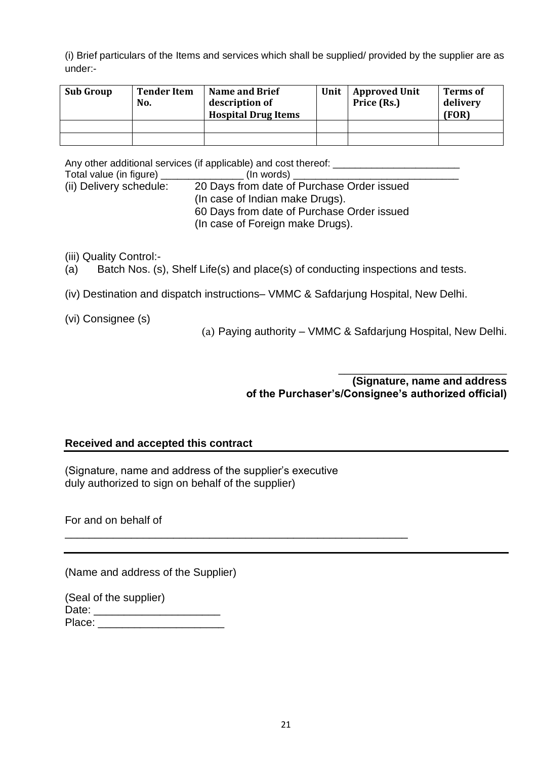(i) Brief particulars of the Items and services which shall be supplied/ provided by the supplier are as under:-

| <b>Sub Group</b> | <b>Tender Item</b><br>No. | <b>Name and Brief</b><br>description of<br><b>Hospital Drug Items</b> | Unit | Approved Unit<br>Price (Rs.) | <b>Terms of</b><br>delivery<br>(FOR) |
|------------------|---------------------------|-----------------------------------------------------------------------|------|------------------------------|--------------------------------------|
|                  |                           |                                                                       |      |                              |                                      |
|                  |                           |                                                                       |      |                              |                                      |

Any other additional services (if applicable) and cost thereof:

| Total value (in figure) j | (In words)                                 |  |
|---------------------------|--------------------------------------------|--|
| (ii) Delivery schedule:   | 20 Days from date of Purchase Order issued |  |
|                           | (In case of Indian make Drugs).            |  |
|                           | 60 Days from date of Purchase Order issued |  |
|                           | (In case of Foreign make Drugs).           |  |

(iii) Quality Control:-

- (a) Batch Nos. (s), Shelf Life(s) and place(s) of conducting inspections and tests.
- (iv) Destination and dispatch instructions– VMMC & Safdarjung Hospital, New Delhi.
- (vi) Consignee (s)

(a) Paying authority – VMMC & Safdarjung Hospital, New Delhi.

\_\_\_\_\_\_\_\_\_\_\_\_\_\_\_\_\_\_\_\_\_\_\_\_\_\_\_\_ **(Signature, name and address of the Purchaser's/Consignee's authorized official)** 

#### **Received and accepted this contract**

(Signature, name and address of the supplier's executive duly authorized to sign on behalf of the supplier)

\_\_\_\_\_\_\_\_\_\_\_\_\_\_\_\_\_\_\_\_\_\_\_\_\_\_\_\_\_\_\_\_\_\_\_\_\_\_\_\_\_\_\_\_\_\_\_\_\_\_\_\_\_\_\_\_\_

For and on behalf of

(Name and address of the Supplier)

|        | (Seal of the supplier) |
|--------|------------------------|
| Date:  |                        |
| Place: |                        |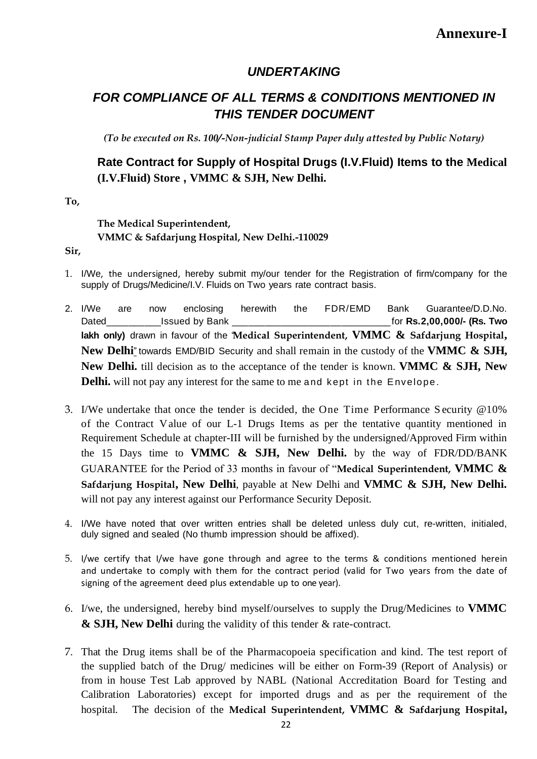## *UNDERTAKING*

# *FOR COMPLIANCE OF ALL TERMS & CONDITIONS MENTIONED IN THIS TENDER DOCUMENT*

*(To be executed on Rs. 100/-Non-judicial Stamp Paper duly attested by Public Notary)*

## **Rate Contract for Supply of Hospital Drugs (I.V.Fluid) Items to the Medical (I.V.Fluid) Store , VMMC & SJH, New Delhi.**

**To,**

#### **The Medical Superintendent, VMMC & Safdarjung Hospital, New Delhi.-110029**

**Sir,**

- 1. I/We, the undersigned, hereby submit my/our tender for the Registration of firm/company for the supply of Drugs/Medicine/I.V. Fluids on Two years rate contract basis.
- 2. I/We are now enclosing herewith the FDR/EMD Bank Guarantee/D.D.No. Dated\_\_\_\_\_\_\_\_\_\_Issued by Bank \_\_\_\_\_\_\_\_\_\_\_\_\_\_\_\_\_\_\_\_\_\_\_\_\_\_\_\_\_for **Rs.2,00,000/- (Rs. Two lakh only)** drawn in favour of the "**Medical Superintendent, VMMC & Safdarjung Hospital, New Delhi**" towards EMD/BID Security and shall remain in the custody of the **VMMC & SJH, New Delhi.** till decision as to the acceptance of the tender is known. **VMMC & SJH, New Delhi.** will not pay any interest for the same to me and kept in the Envelope.
- 3. I/We undertake that once the tender is decided, the One Time Performance S ecurity @10% of the Contract Value of our L-1 Drugs Items as per the tentative quantity mentioned in Requirement Schedule at chapter-III will be furnished by the undersigned/Approved Firm within the 15 Days time to **VMMC & SJH, New Delhi.** by the way of FDR/DD/BANK GUARANTEE for the Period of 33 months in favour of "**Medical Superintendent, VMMC & Safdarjung Hospital, New Delhi**, payable at New Delhi and **VMMC & SJH, New Delhi.** will not pay any interest against our Performance Security Deposit.
- 4. I/We have noted that over written entries shall be deleted unless duly cut, re-written, initialed, duly signed and sealed (No thumb impression should be affixed).
- 5. I/we certify that I/we have gone through and agree to the terms & conditions mentioned herein and undertake to comply with them for the contract period (valid for Two years from the date of signing of the agreement deed plus extendable up to one year).
- 6. I/we, the undersigned, hereby bind myself/ourselves to supply the Drug/Medicines to **VMMC & SJH, New Delhi** during the validity of this tender & rate-contract.
- 7. That the Drug items shall be of the Pharmacopoeia specification and kind. The test report of the supplied batch of the Drug/ medicines will be either on Form-39 (Report of Analysis) or from in house Test Lab approved by NABL (National Accreditation Board for Testing and Calibration Laboratories) except for imported drugs and as per the requirement of the hospital. The decision of the **Medical Superintendent, VMMC & Safdarjung Hospital,**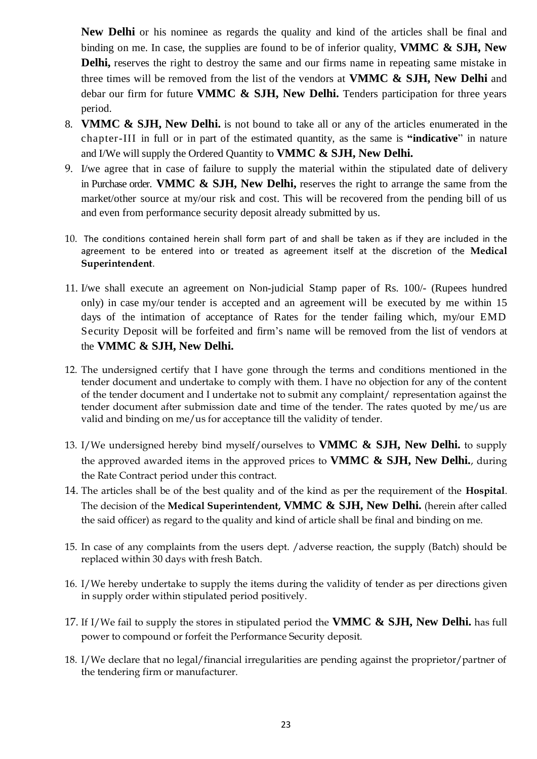**New Delhi** or his nominee as regards the quality and kind of the articles shall be final and binding on me. In case, the supplies are found to be of inferior quality, **VMMC & SJH, New Delhi,** reserves the right to destroy the same and our firms name in repeating same mistake in three times will be removed from the list of the vendors at **VMMC & SJH, New Delhi** and debar our firm for future **VMMC & SJH, New Delhi.** Tenders participation for three years period.

- 8. **VMMC & SJH, New Delhi.** is not bound to take all or any of the articles enumerated in the chapter-III in full or in part of the estimated quantity, as the same is **"indicative**" in nature and I/We will supply the Ordered Quantity to **VMMC & SJH, New Delhi.**
- 9. I/we agree that in case of failure to supply the material within the stipulated date of delivery in Purchase order. **VMMC & SJH, New Delhi,** reserves the right to arrange the same from the market/other source at my/our risk and cost. This will be recovered from the pending bill of us and even from performance security deposit already submitted by us.
- 10. The conditions contained herein shall form part of and shall be taken as if they are included in the agreement to be entered into or treated as agreement itself at the discretion of the **Medical Superintendent**.
- 11. I/we shall execute an agreement on Non-judicial Stamp paper of Rs. 100/- (Rupees hundred only) in case my/our tender is accepted and an agreement will be executed by me within 15 days of the intimation of acceptance of Rates for the tender failing which, my/our EMD Security Deposit will be forfeited and firm's name will be removed from the list of vendors at the **VMMC & SJH, New Delhi.**
- 12. The undersigned certify that I have gone through the terms and conditions mentioned in the tender document and undertake to comply with them. I have no objection for any of the content of the tender document and I undertake not to submit any complaint/ representation against the tender document after submission date and time of the tender. The rates quoted by me/us are valid and binding on me/us for acceptance till the validity of tender.
- 13. I/We undersigned hereby bind myself/ourselves to **VMMC & SJH, New Delhi.** to supply the approved awarded items in the approved prices to **VMMC & SJH, New Delhi.**, during the Rate Contract period under this contract.
- 14. The articles shall be of the best quality and of the kind as per the requirement of the **Hospital**. The decision of the **Medical Superintendent, VMMC & SJH, New Delhi.** (herein after called the said officer) as regard to the quality and kind of article shall be final and binding on me.
- 15. In case of any complaints from the users dept. /adverse reaction, the supply (Batch) should be replaced within 30 days with fresh Batch.
- 16. I/We hereby undertake to supply the items during the validity of tender as per directions given in supply order within stipulated period positively.
- 17. If I/We fail to supply the stores in stipulated period the **VMMC & SJH, New Delhi.** has full power to compound or forfeit the Performance Security deposit.
- 18. I/We declare that no legal/financial irregularities are pending against the proprietor/partner of the tendering firm or manufacturer.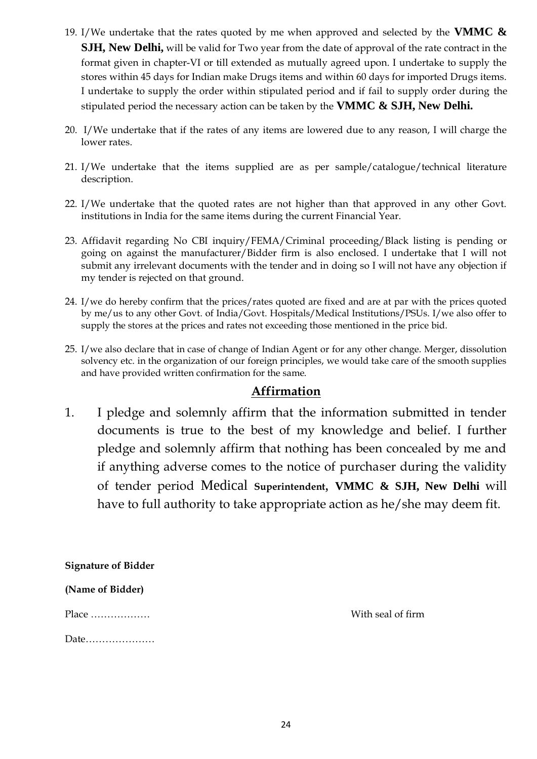- 19. I/We undertake that the rates quoted by me when approved and selected by the **VMMC & SJH, New Delhi,** will be valid for Two year from the date of approval of the rate contract in the format given in chapter-VI or till extended as mutually agreed upon. I undertake to supply the stores within 45 days for Indian make Drugs items and within 60 days for imported Drugs items. I undertake to supply the order within stipulated period and if fail to supply order during the stipulated period the necessary action can be taken by the **VMMC & SJH, New Delhi.**
- 20. I/We undertake that if the rates of any items are lowered due to any reason, I will charge the lower rates.
- 21. I/We undertake that the items supplied are as per sample/catalogue/technical literature description.
- 22. I/We undertake that the quoted rates are not higher than that approved in any other Govt. institutions in India for the same items during the current Financial Year.
- 23. Affidavit regarding No CBI inquiry/FEMA/Criminal proceeding/Black listing is pending or going on against the manufacturer/Bidder firm is also enclosed. I undertake that I will not submit any irrelevant documents with the tender and in doing so I will not have any objection if my tender is rejected on that ground.
- 24. I/we do hereby confirm that the prices/rates quoted are fixed and are at par with the prices quoted by me/us to any other Govt. of India/Govt. Hospitals/Medical Institutions/PSUs. I/we also offer to supply the stores at the prices and rates not exceeding those mentioned in the price bid.
- 25. I/we also declare that in case of change of Indian Agent or for any other change. Merger, dissolution solvency etc. in the organization of our foreign principles, we would take care of the smooth supplies and have provided written confirmation for the same.

## **Affirmation**

1. I pledge and solemnly affirm that the information submitted in tender documents is true to the best of my knowledge and belief. I further pledge and solemnly affirm that nothing has been concealed by me and if anything adverse comes to the notice of purchaser during the validity of tender period Medical **Superintendent**, **VMMC & SJH, New Delhi** will have to full authority to take appropriate action as he/she may deem fit.

**Signature of Bidder**

**(Name of Bidder)**

Place ……………… With seal of firm

Date…………………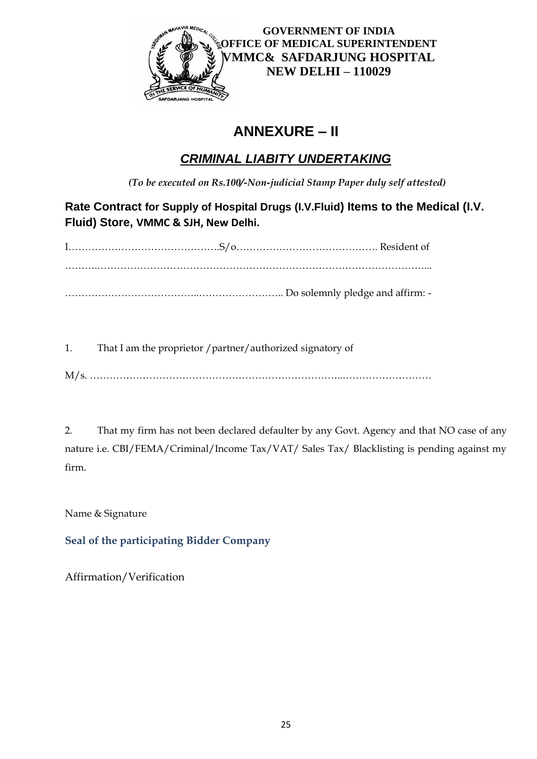

# **ANNEXURE – II**

# *CRIMINAL LIABITY UNDERTAKING*

*(To be executed on Rs.100/-Non-judicial Stamp Paper duly self attested)*

**Rate Contract for Supply of Hospital Drugs (I.V.Fluid) Items to the Medical (I.V. Fluid) Store, VMMC & SJH, New Delhi.**

1. That I am the proprietor /partner/authorized signatory of

M/s. …………………………………………………………………..………………………

2. That my firm has not been declared defaulter by any Govt. Agency and that NO case of any nature i.e. CBI/FEMA/Criminal/Income Tax/VAT/ Sales Tax/ Blacklisting is pending against my firm.

Name & Signature

**Seal of the participating Bidder Company**

Affirmation/Verification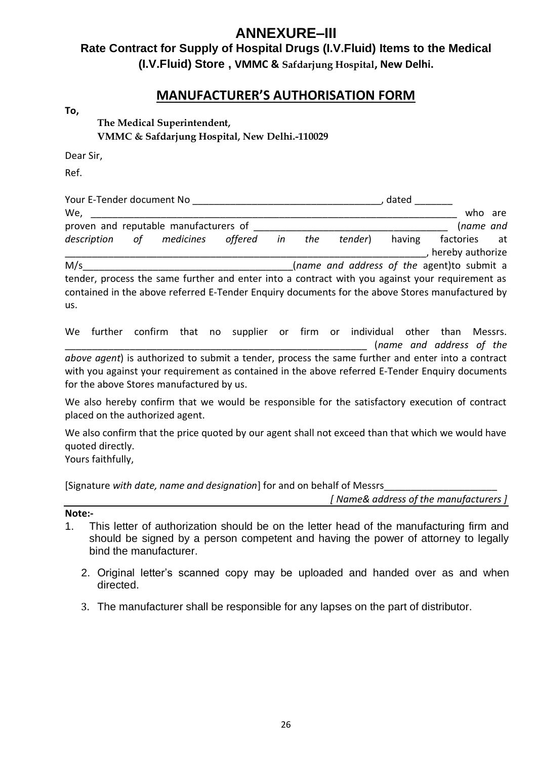# **ANNEXURE–III**

# **Rate Contract for Supply of Hospital Drugs (I.V.Fluid) Items to the Medical (I.V.Fluid) Store , VMMC & Safdarjung Hospital, New Delhi.**

## **MANUFACTURER'S AUTHORISATION FORM**

**To,**

**The Medical Superintendent, VMMC & Safdarjung Hospital, New Delhi.-110029**

Dear Sir,

Ref.

| Your E-Tender document No                                                                       |    |           |         |    |     | dated   |        |                                            |    |  |
|-------------------------------------------------------------------------------------------------|----|-----------|---------|----|-----|---------|--------|--------------------------------------------|----|--|
| We,                                                                                             |    |           |         |    |     |         |        | who are                                    |    |  |
| proven and reputable manufacturers of                                                           |    |           |         |    |     |         |        | (name and                                  |    |  |
| description                                                                                     | 0f | medicines | offered | in | the | tender) | having | factories                                  | at |  |
|                                                                                                 |    |           |         |    |     |         |        | hereby authorize                           |    |  |
| M/s                                                                                             |    |           |         |    |     |         |        | (name and address of the agent)to submit a |    |  |
| tender, process the same further and enter into a contract with you against your requirement as |    |           |         |    |     |         |        |                                            |    |  |
| contained in the above referred E-Tender Enguiry documents for the above Stores manufactured by |    |           |         |    |     |         |        |                                            |    |  |

us.

We further confirm that no supplier or firm or individual other than Messrs. \_\_\_\_\_\_\_\_\_\_\_\_\_\_\_\_\_\_\_\_\_\_\_\_\_\_\_\_\_\_\_\_\_\_\_\_\_\_\_\_\_\_\_\_\_\_\_\_\_\_\_\_\_\_\_\_ (*name and address of the above agent*) is authorized to submit a tender, process the same further and enter into a contract with you against your requirement as contained in the above referred E-Tender Enquiry documents for the above Stores manufactured by us.

We also hereby confirm that we would be responsible for the satisfactory execution of contract placed on the authorized agent.

We also confirm that the price quoted by our agent shall not exceed than that which we would have quoted directly.

Yours faithfully,

[Signature with date, name and designation] for and on behalf of Messrs

*[ Name& address of the manufacturers ]*

**Note:-** 

- 1. This letter of authorization should be on the letter head of the manufacturing firm and should be signed by a person competent and having the power of attorney to legally bind the manufacturer.
	- 2. Original letter's scanned copy may be uploaded and handed over as and when directed.
	- 3. The manufacturer shall be responsible for any lapses on the part of distributor.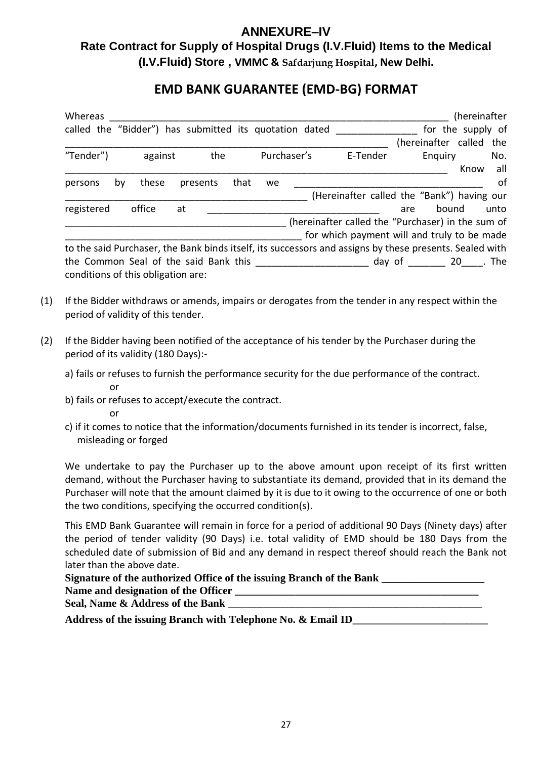# **ANNEXURE–IV Rate Contract for Supply of Hospital Drugs (I.V.Fluid) Items to the Medical**

**(I.V.Fluid) Store , VMMC & Safdarjung Hospital, New Delhi.**

# **EMD BANK GUARANTEE (EMD-BG) FORMAT**

| Whereas                                                  |                                    |         |    |          |      |    |                                                        |          |     | (hereinafter                                                                                            |      |
|----------------------------------------------------------|------------------------------------|---------|----|----------|------|----|--------------------------------------------------------|----------|-----|---------------------------------------------------------------------------------------------------------|------|
|                                                          |                                    |         |    |          |      |    | called the "Bidder") has submitted its quotation dated |          |     | for the supply of                                                                                       |      |
|                                                          |                                    |         |    |          |      |    |                                                        |          |     | (hereinafter called the                                                                                 |      |
| "Tender")                                                |                                    | against |    | the      |      |    | Purchaser's                                            | E-Tender |     | Enquiry                                                                                                 | No.  |
|                                                          |                                    |         |    |          |      |    |                                                        |          |     | Know                                                                                                    | all  |
| persons                                                  | by                                 | these   |    | presents | that | we |                                                        |          |     |                                                                                                         | of   |
|                                                          |                                    |         |    |          |      |    |                                                        |          |     | (Hereinafter called the "Bank") having our                                                              |      |
| registered                                               |                                    | office  | at |          |      |    |                                                        |          | are | bound                                                                                                   | unto |
|                                                          |                                    |         |    |          |      |    |                                                        |          |     | (hereinafter called the "Purchaser) in the sum of                                                       |      |
|                                                          |                                    |         |    |          |      |    |                                                        |          |     | for which payment will and truly to be made                                                             |      |
|                                                          |                                    |         |    |          |      |    |                                                        |          |     | to the said Purchaser, the Bank binds itself, its successors and assigns by these presents. Sealed with |      |
| the Common Seal of the said Bank this<br>day of 20 . The |                                    |         |    |          |      |    |                                                        |          |     |                                                                                                         |      |
|                                                          | conditions of this obligation are: |         |    |          |      |    |                                                        |          |     |                                                                                                         |      |

- (1) If the Bidder withdraws or amends, impairs or derogates from the tender in any respect within the period of validity of this tender.
- (2) If the Bidder having been notified of the acceptance of his tender by the Purchaser during the period of its validity (180 Days):
	- a) fails or refuses to furnish the performance security for the due performance of the contract. or
	- b) fails or refuses to accept/execute the contract.

or

c) if it comes to notice that the information/documents furnished in its tender is incorrect, false, misleading or forged

We undertake to pay the Purchaser up to the above amount upon receipt of its first written demand, without the Purchaser having to substantiate its demand, provided that in its demand the Purchaser will note that the amount claimed by it is due to it owing to the occurrence of one or both the two conditions, specifying the occurred condition(s).

This EMD Bank Guarantee will remain in force for a period of additional 90 Days (Ninety days) after the period of tender validity (90 Days) i.e. total validity of EMD should be 180 Days from the scheduled date of submission of Bid and any demand in respect thereof should reach the Bank not later than the above date.

| Signature of the authorized Office of the issuing Branch of the Bank |  |
|----------------------------------------------------------------------|--|
| Name and designation of the Officer                                  |  |
| Seal, Name & Address of the Bank                                     |  |

**Address of the issuing Branch with Telephone No. & Email ID\_\_\_\_\_\_\_\_\_\_\_\_\_\_\_\_\_\_\_\_\_\_\_\_\_**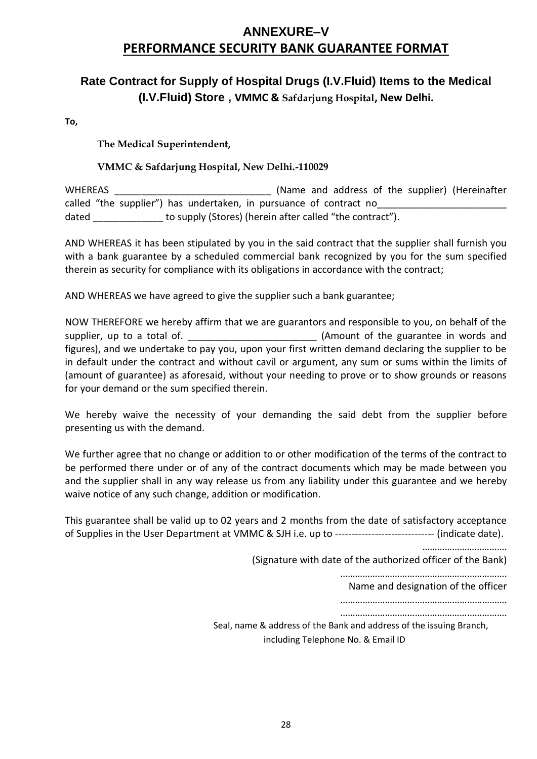# **ANNEXURE–V PERFORMANCE SECURITY BANK GUARANTEE FORMAT**

# **Rate Contract for Supply of Hospital Drugs (I.V.Fluid) Items to the Medical (I.V.Fluid) Store , VMMC & Safdarjung Hospital, New Delhi.**

**To,**

**The Medical Superintendent,**

#### **VMMC & Safdarjung Hospital, New Delhi.-110029**

WHEREAS \_\_\_\_\_\_\_\_\_\_\_\_\_\_\_\_\_\_\_\_\_\_\_\_\_\_\_\_\_ (Name and address of the supplier) (Hereinafter called "the supplier") has undertaken, in pursuance of contract no\_\_\_\_\_\_\_\_\_\_\_\_\_\_\_ dated to supply (Stores) (herein after called "the contract").

AND WHEREAS it has been stipulated by you in the said contract that the supplier shall furnish you with a bank guarantee by a scheduled commercial bank recognized by you for the sum specified therein as security for compliance with its obligations in accordance with the contract;

AND WHEREAS we have agreed to give the supplier such a bank guarantee;

NOW THEREFORE we hereby affirm that we are guarantors and responsible to you, on behalf of the supplier, up to a total of.  $\blacksquare$ figures), and we undertake to pay you, upon your first written demand declaring the supplier to be in default under the contract and without cavil or argument, any sum or sums within the limits of (amount of guarantee) as aforesaid, without your needing to prove or to show grounds or reasons for your demand or the sum specified therein.

We hereby waive the necessity of your demanding the said debt from the supplier before presenting us with the demand.

We further agree that no change or addition to or other modification of the terms of the contract to be performed there under or of any of the contract documents which may be made between you and the supplier shall in any way release us from any liability under this guarantee and we hereby waive notice of any such change, addition or modification.

This guarantee shall be valid up to 02 years and 2 months from the date of satisfactory acceptance of Supplies in the User Department at VMMC & SJH i.e. up to ------------------------------ (indicate date).

…………………………….

(Signature with date of the authorized officer of the Bank)

………………………………………………………….

Name and designation of the officer

…………………………………………………………. ………………………………………………………….

Seal, name & address of the Bank and address of the issuing Branch, including Telephone No. & Email ID